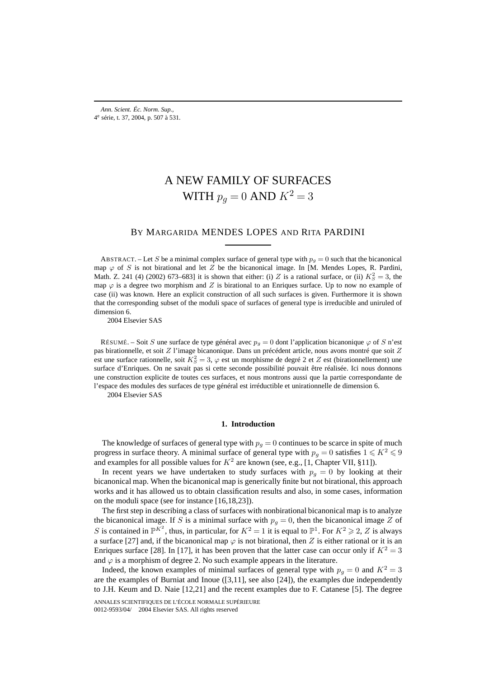# A NEW FAMILY OF SURFACES WITH  $p_q = 0$  AND  $K^2 = 3$

## BY MARGARIDA MENDES LOPES AND RITA PARDINI

ABSTRACT. – Let S be a minimal complex surface of general type with  $p<sub>g</sub> = 0$  such that the bicanonical map  $\varphi$  of S is not birational and let Z be the bicanonical image. In [M. Mendes Lopes, R. Pardini, Math. Z. 241 (4) (2002) 673–683] it is shown that either: (i) Z is a rational surface, or (ii)  $K_S^2 = 3$ , the map  $\varphi$  is a degree two morphism and Z is birational to an Enriques surface. Up to now no example of case (ii) was known. Here an explicit construction of all such surfaces is given. Furthermore it is shown that the corresponding subset of the moduli space of surfaces of general type is irreducible and uniruled of dimension 6.

2004 Elsevier SAS

RÉSUMÉ. – Soit S une surface de type général avec  $p<sub>g</sub> = 0$  dont l'application bicanonique  $\varphi$  of S n'est pas birationnelle, et soit Z l'image bicanonique. Dans un précédent article, nous avons montré que soit Z est une surface rationnelle, soit  $K_S^2 = 3$ ,  $\varphi$  est un morphisme de degré 2 et Z est (birationnellement) une surface d'Enriques. On ne savait pas si cette seconde possibilité pouvait être réalisée. Ici nous donnons une construction explicite de toutes ces surfaces, et nous montrons aussi que la partie correspondante de l'espace des modules des surfaces de type général est irréductible et unirationnelle de dimension 6.

2004 Elsevier SAS

#### **1. Introduction**

The knowledge of surfaces of general type with  $p<sub>g</sub> = 0$  continues to be scarce in spite of much progress in surface theory. A minimal surface of general type with  $p_q = 0$  satisfies  $1 \leq K^2 \leq 9$ and examples for all possible values for  $K^2$  are known (see, e.g., [1, Chapter VII, §11]).

In recent years we have undertaken to study surfaces with  $p<sub>g</sub> = 0$  by looking at their bicanonical map. When the bicanonical map is generically finite but not birational, this approach works and it has allowed us to obtain classification results and also, in some cases, information on the moduli space (see for instance [16,18,23]).

The first step in describing a class of surfaces with nonbirational bicanonical map is to analyze the bicanonical image. If S is a minimal surface with  $p_q = 0$ , then the bicanonical image Z of S is contained in  $\mathbb{P}^{K^2}$ , thus, in particular, for  $K^2 = 1$  it is equal to  $\mathbb{P}^1$ . For  $K^2 \geq 2$ , Z is always a surface [27] and, if the bicanonical map  $\varphi$  is not birational, then Z is either rational or it is an Enriques surface [28]. In [17], it has been proven that the latter case can occur only if  $K^2 = 3$ and  $\varphi$  is a morphism of degree 2. No such example appears in the literature.

Indeed, the known examples of minimal surfaces of general type with  $p_q = 0$  and  $K^2 = 3$ are the examples of Burniat and Inoue  $([3,11]$ , see also  $[24]$ ), the examples due independently to J.H. Keum and D. Naie [12,21] and the recent examples due to F. Catanese [5]. The degree

ANNALES SCIENTIFIQUES DE L'ÉCOLE NORMALE SUPÉRIEURE 0012-9593/04/© 2004 Elsevier SAS. All rights reserved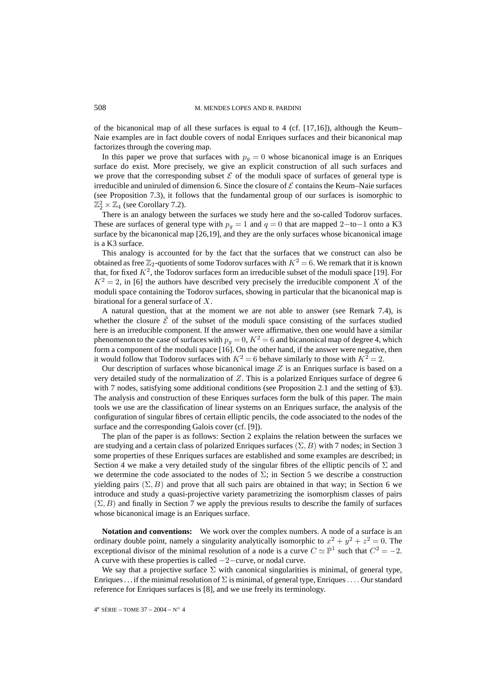of the bicanonical map of all these surfaces is equal to 4 (cf.  $[17,16]$ ), although the Keum– Naie examples are in fact double covers of nodal Enriques surfaces and their bicanonical map factorizes through the covering map.

In this paper we prove that surfaces with  $p<sub>q</sub> = 0$  whose bicanonical image is an Enriques surface do exist. More precisely, we give an explicit construction of all such surfaces and we prove that the corresponding subset  $\mathcal E$  of the moduli space of surfaces of general type is irreducible and uniruled of dimension 6. Since the closure of  $\mathcal E$  contains the Keum–Naie surfaces (see Proposition 7.3), it follows that the fundamental group of our surfaces is isomorphic to  $\mathbb{Z}_2^2 \times \mathbb{Z}_4$  (see Corollary 7.2).

There is an analogy between the surfaces we study here and the so-called Todorov surfaces. These are surfaces of general type with  $p<sub>q</sub> = 1$  and  $q = 0$  that are mapped 2−to−1 onto a K3 surface by the bicanonical map [26,19], and they are the only surfaces whose bicanonical image is a K3 surface.

This analogy is accounted for by the fact that the surfaces that we construct can also be obtained as free  $\mathbb{Z}_2$ -quotients of some Todorov surfaces with  $K^2 = 6$ . We remark that it is known that, for fixed  $K^2$ , the Todorov surfaces form an irreducible subset of the moduli space [19]. For  $K^2 = 2$ , in [6] the authors have described very precisely the irreducible component X of the moduli space containing the Todorov surfaces, showing in particular that the bicanonical map is birational for a general surface of X.

A natural question, that at the moment we are not able to answer (see Remark 7.4), is whether the closure  $\bar{\mathcal{E}}$  of the subset of the moduli space consisting of the surfaces studied here is an irreducible component. If the answer were affirmative, then one would have a similar phenomenon to the case of surfaces with  $p_q = 0$ ,  $K^2 = 6$  and bicanonical map of degree 4, which form a component of the moduli space [16]. On the other hand, if the answer were negative, then it would follow that Todorov surfaces with  $K^2 = 6$  behave similarly to those with  $K^2 = 2$ .

Our description of surfaces whose bicanonical image  $Z$  is an Enriques surface is based on a very detailed study of the normalization of  $Z$ . This is a polarized Enriques surface of degree 6 with 7 nodes, satisfying some additional conditions (see Proposition 2.1 and the setting of §3). The analysis and construction of these Enriques surfaces form the bulk of this paper. The main tools we use are the classification of linear systems on an Enriques surface, the analysis of the configuration of singular fibres of certain elliptic pencils, the code associated to the nodes of the surface and the corresponding Galois cover (cf. [9]).

The plan of the paper is as follows: Section 2 explains the relation between the surfaces we are studying and a certain class of polarized Enriques surfaces  $(\Sigma, B)$  with 7 nodes; in Section 3 some properties of these Enriques surfaces are established and some examples are described; in Section 4 we make a very detailed study of the singular fibres of the elliptic pencils of  $\Sigma$  and we determine the code associated to the nodes of  $\Sigma$ ; in Section 5 we describe a construction yielding pairs ( $\Sigma$ , B) and prove that all such pairs are obtained in that way; in Section 6 we introduce and study a quasi-projective variety parametrizing the isomorphism classes of pairs  $(\Sigma, B)$  and finally in Section 7 we apply the previous results to describe the family of surfaces whose bicanonical image is an Enriques surface.

**Notation and conventions:** We work over the complex numbers. A node of a surface is an ordinary double point, namely a singularity analytically isomorphic to  $x^2 + y^2 + z^2 = 0$ . The exceptional divisor of the minimal resolution of a node is a curve  $C \simeq \mathbb{P}^1$  such that  $C^2 = -2$ . A curve with these properties is called −2−curve, or nodal curve.

We say that a projective surface  $\Sigma$  with canonical singularities is minimal, of general type, Enriques ... if the minimal resolution of  $\Sigma$  is minimal, of general type, Enriques ... Our standard reference for Enriques surfaces is [8], and we use freely its terminology.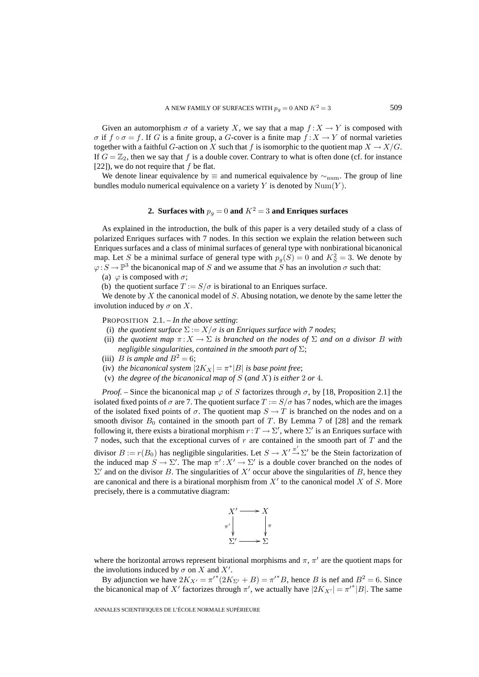Given an automorphism  $\sigma$  of a variety X, we say that a map  $f: X \to Y$  is composed with  $\sigma$  if  $f \circ \sigma = f$ . If G is a finite group, a G-cover is a finite map  $f : X \to Y$  of normal varieties together with a faithful G-action on X such that f is isomorphic to the quotient map  $X \to X/G$ . If  $G = \mathbb{Z}_2$ , then we say that f is a double cover. Contrary to what is often done (cf. for instance [22]), we do not require that  $f$  be flat.

We denote linear equivalence by  $\equiv$  and numerical equivalence by  $\sim$ <sub>num</sub>. The group of line bundles modulo numerical equivalence on a variety Y is denoted by  $Num(Y)$ .

# **2. Surfaces with**  $p_q = 0$  **and**  $K^2 = 3$  **and Enriques surfaces**

As explained in the introduction, the bulk of this paper is a very detailed study of a class of polarized Enriques surfaces with 7 nodes. In this section we explain the relation between such Enriques surfaces and a class of minimal surfaces of general type with nonbirational bicanonical map. Let S be a minimal surface of general type with  $p_g(S) = 0$  and  $K_S^2 = 3$ . We denote by  $\varphi: S \to \mathbb{P}^3$  the bicanonical map of S and we assume that S has an involution  $\sigma$  such that:

(a)  $\varphi$  is composed with  $\sigma$ ;

(b) the quotient surface  $T := S/\sigma$  is birational to an Enriques surface.

We denote by  $X$  the canonical model of  $S$ . Abusing notation, we denote by the same letter the involution induced by  $\sigma$  on X.

PROPOSITION 2.1. – *In the above setting*:

- (i) *the quotient surface*  $\Sigma := X/\sigma$  *is an Enriques surface with* 7 *nodes*;
- (ii) *the quotient map*  $\pi: X \to \Sigma$  *is branched on the nodes of*  $\Sigma$  *and on a divisor B with negligible singularities, contained in the smooth part of* Σ;
- (iii) *B* is ample and  $B^2 = 6$ ;
- (iv) *the bicanonical system*  $|2K_X| = \pi^*|B|$  *is base point free*;
- (v) *the degree of the bicanonical map of* S (*and* X) *is either* 2 *or* 4*.*

*Proof.* – Since the bicanonical map  $\varphi$  of S factorizes through  $\sigma$ , by [18, Proposition 2.1] the isolated fixed points of  $\sigma$  are 7. The quotient surface  $T := S/\sigma$  has 7 nodes, which are the images of the isolated fixed points of  $\sigma$ . The quotient map  $S \to T$  is branched on the nodes and on a smooth divisor  $B_0$  contained in the smooth part of T. By Lemma 7 of [28] and the remark following it, there exists a birational morphism  $r: T \to \Sigma'$ , where  $\Sigma'$  is an Enriques surface with 7 nodes, such that the exceptional curves of  $r$  are contained in the smooth part of  $T$  and the divisor  $B := r(B_0)$  has negligible singularities. Let  $S \to X' \to \Sigma'$  be the Stein factorization of the induced map  $S \to \Sigma'$ . The map  $\pi' : X' \to \Sigma'$  is a double cover branched on the nodes of  $\Sigma'$  and on the divisor B. The singularities of X' occur above the singularities of B, hence they are canonical and there is a birational morphism from  $X'$  to the canonical model X of S. More precisely, there is a commutative diagram:



where the horizontal arrows represent birational morphisms and  $\pi$ ,  $\pi'$  are the quotient maps for the involutions induced by  $\sigma$  on X and X'.

By adjunction we have  $2K_{X'} = \pi'^*(2K_{\Sigma'} + B) = \pi'^*B$ , hence B is nef and  $B^2 = 6$ . Since the bicanonical map of X' factorizes through  $\pi'$ , we actually have  $|2K_{X'}| = \pi'^{*}|B|$ . The same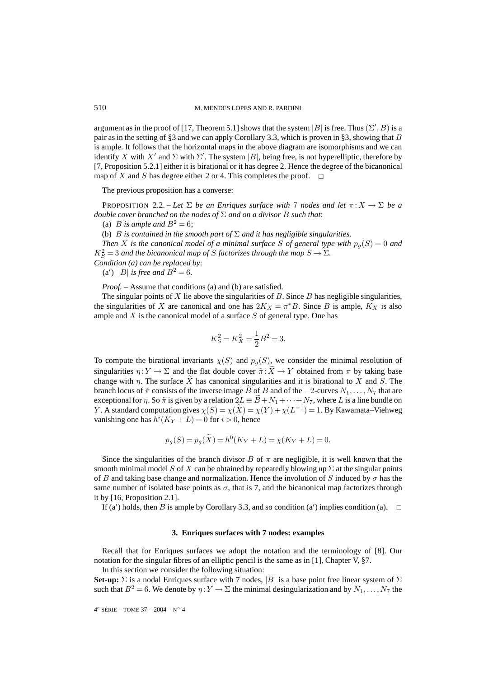argument as in the proof of [17, Theorem 5.1] shows that the system |B| is free. Thus  $(\Sigma', B)$  is a pair as in the setting of §3 and we can apply Corollary 3.3, which is proven in §3, showing that B is ample. It follows that the horizontal maps in the above diagram are isomorphisms and we can identify X with X' and  $\Sigma$  with  $\Sigma'$ . The system |B|, being free, is not hyperelliptic, therefore by [7, Proposition 5.2.1] either it is birational or it has degree 2. Hence the degree of the bicanonical map of X and S has degree either 2 or 4. This completes the proof.  $\Box$ 

The previous proposition has a converse:

PROPOSITION 2.2. – Let  $\Sigma$  be an Enriques surface with 7 nodes and let  $\pi: X \to \Sigma$  be a *double cover branched on the nodes of* Σ *and on a divisor* B *such that*:

(a) *B* is ample and  $B^2 = 6$ ;

(b) B *is contained in the smooth part of* Σ *and it has negligible singularities.*

*Then* X is the canonical model of a minimal surface S of general type with  $p_q(S) = 0$  and  $K_S^2 = 3$  and the bicanonical map of S factorizes through the map  $S \to \Sigma$ .

*Condition (a) can be replaced by*:

(a') |B| *is free and*  $B^2 = 6$ *.* 

*Proof.* – Assume that conditions (a) and (b) are satisfied.

The singular points of  $X$  lie above the singularities of  $B$ . Since  $B$  has negligible singularities, the singularities of X are canonical and one has  $2K_X = \pi^*B$ . Since B is ample,  $K_X$  is also ample and  $X$  is the canonical model of a surface  $S$  of general type. One has

$$
K_S^2 = K_X^2 = \frac{1}{2}B^2 = 3.
$$

To compute the birational invariants  $\chi(S)$  and  $p_g(S)$ , we consider the minimal resolution of singularities  $\eta: Y \to \Sigma$  and the flat double cover  $\tilde{\pi}: X \to Y$  obtained from  $\pi$  by taking base change with  $\eta$ . The surface X has canonical singularities and it is birational to X and S. The branch locus of  $\tilde{\pi}$  consists of the inverse image B of B and of the −2-curves  $N_1, \ldots, N_7$  that are exceptional for  $\eta$ . So  $\tilde{\pi}$  is given by a relation  $2L \equiv B + N_1 + \cdots + N_7$ , where L is a line bundle on Y. A standard computation gives  $\chi(S) = \chi(\tilde{X}) = \chi(Y) + \chi(L^{-1}) = 1$ . By Kawamata–Viehweg vanishing one has  $h^{i}(K_Y + L) = 0$  for  $i > 0$ , hence

$$
p_g(S) = p_g(\widetilde{X}) = h^0(K_Y + L) = \chi(K_Y + L) = 0.
$$

Since the singularities of the branch divisor B of  $\pi$  are negligible, it is well known that the smooth minimal model S of X can be obtained by repeatedly blowing up  $\Sigma$  at the singular points of B and taking base change and normalization. Hence the involution of S induced by  $\sigma$  has the same number of isolated base points as  $\sigma$ , that is 7, and the bicanonical map factorizes through it by [16, Proposition 2.1].

If (a') holds, then B is ample by Corollary 3.3, and so condition (a') implies condition (a).  $\Box$ 

#### **3. Enriques surfaces with 7 nodes: examples**

Recall that for Enriques surfaces we adopt the notation and the terminology of [8]. Our notation for the singular fibres of an elliptic pencil is the same as in [1], Chapter V, §7.

In this section we consider the following situation:

**Set-up:**  $\Sigma$  is a nodal Enriques surface with 7 nodes,  $|B|$  is a base point free linear system of  $\Sigma$ such that  $B^2 = 6$ . We denote by  $\eta: Y \to \Sigma$  the minimal desingularization and by  $N_1, \ldots, N_7$  the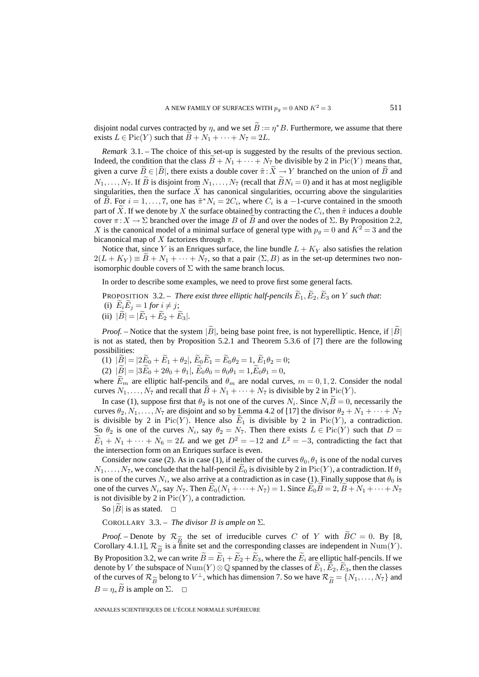disjoint nodal curves contracted by  $\eta$ , and we set  $\hat{B} := \eta^*B$ . Furthermore, we assume that there exists  $L \in Pic(Y)$  such that  $B + N_1 + \cdots + N_7 = 2L$ .

*Remark* 3.1. – The choice of this set-up is suggested by the results of the previous section. Indeed, the condition that the class  $B + N_1 + \cdots + N_7$  be divisible by 2 in Pic(Y) means that, given a curve  $\widetilde{B} \in |\widetilde{B}|$ , there exists a double cover  $\widetilde{\pi} : \widetilde{X} \to Y$  branched on the union of  $\widetilde{B}$  and  $N_1, \ldots, N_7$ . If  $\widetilde{B}$  is disjoint from  $N_1, \ldots, N_7$  (recall that  $\widetilde{B}N_i = 0$ ) and it has at most negligible singularities, then the surface  $X$  has canonical singularities, occurring above the singularities of B. For  $i = 1, \ldots, 7$ , one has  $\tilde{\pi}^* N_i = 2C_i$ , where  $C_i$  is a -1-curve contained in the smooth part of X. If we denote by X the surface obtained by contracting the  $C_i$ , then  $\tilde{\pi}$  induces a double cover  $\pi: X \to \Sigma$  branched over the image B of B and over the nodes of  $\Sigma$ . By Proposition 2.2, X is the canonical model of a minimal surface of general type with  $p_q = 0$  and  $K^2 = 3$  and the bicanonical map of X factorizes through  $\pi$ .

Notice that, since Y is an Enriques surface, the line bundle  $L + K_Y$  also satisfies the relation  $2(L + Ky) \equiv B + N_1 + \cdots + N_7$ , so that a pair  $(\Sigma, B)$  as in the set-up determines two nonisomorphic double covers of  $\Sigma$  with the same branch locus.

In order to describe some examples, we need to prove first some general facts.

PROPOSITION 3.2. – *There exist three elliptic half-pencils*  $\widetilde{E}_1, \widetilde{E}_2, \widetilde{E}_3$  *on* Y *such that*: (i)  $\widetilde{E}_i \widetilde{E}_j = 1$  *for*  $i \neq j$ ; (ii)  $|\widetilde{B}| = |\widetilde{E}_1 + \widetilde{E}_2 + \widetilde{E}_3|$ .

*Proof.* – Notice that the system  $|\widetilde{B}|$ , being base point free, is not hyperelliptic. Hence, if  $|\widetilde{B}|$ is not as stated, then by Proposition 5.2.1 and Theorem 5.3.6 of [7] there are the following possibilities:

(1)  $|\tilde{B}| = |2\tilde{E}_0 + \tilde{E}_1 + \theta_2|, \ \tilde{E}_0 \tilde{E}_1 = \tilde{E}_0 \theta_2 = 1, \ \tilde{E}_1 \theta_2 = 0;$ 

(2)  $|\widetilde{B}| = |3\widetilde{E}_0 + 2\theta_0 + \theta_1|, \widetilde{E}_0\theta_0 = \theta_0\theta_1 = 1, \widetilde{E}_0\theta_1 = 0,$ 

where  $E_m$  are elliptic half-pencils and  $\theta_m$  are nodal curves,  $m = 0, 1, 2$ . Consider the nodal curves  $N_1, \ldots, N_7$  and recall that  $B + N_1 + \cdots + N_7$  is divisible by 2 in Pic(Y).

In case (1), suppose first that  $\theta_2$  is not one of the curves  $N_i$ . Since  $N_iB = 0$ , necessarily the curves  $\theta_2, N_1, \ldots, N_7$  are disjoint and so by Lemma 4.2 of [17] the divisor  $\theta_2 + N_1 + \cdots + N_7$ is divisible by 2 in Pic(Y). Hence also  $E_1$  is divisible by 2 in Pic(Y), a contradiction. So  $\theta_2$  is one of the curves  $N_i$ , say  $\theta_2 = N_7$ . Then there exists  $L \in Pic(Y)$  such that  $D =$  $\widetilde{E}_1 + N_1 + \cdots + N_6 = 2L$  and we get  $D^2 = -12$  and  $L^2 = -3$ , contradicting the fact that the intersection form on an Enriques surface is even.

Consider now case (2). As in case (1), if neither of the curves  $\theta_0$ ,  $\theta_1$  is one of the nodal curves  $N_1,\ldots,N_7$ , we conclude that the half-pencil  $\widetilde{E}_0$  is divisible by 2 in Pic(Y), a contradiction. If  $\theta_1$ is one of the curves  $N_i$ , we also arrive at a contradiction as in case (1). Finally suppose that  $\theta_0$  is one of the curves  $N_i$ , say  $N_7$ . Then  $E_0(N_1 + \cdots + N_7) = 1$ . Since  $E_0B = 2$ ,  $B + N_1 + \cdots + N_7$ is not divisible by 2 in  $Pic(Y)$ , a contradiction.

So |B| is as stated.  $\square$ 

COROLLARY 3.3. – *The divisor B is ample on*  $\Sigma$ *.* 

*Proof.* – Denote by  $\mathcal{R}_{\widetilde{B}}$  the set of irreducible curves C of Y with  $\widetilde{B}C = 0$ . By [8, Corollary 4.1.1],  $\mathcal{R}_{\widetilde{B}}$  is a finite set and the corresponding classes are independent in Num(Y). By Proposition 3.2, we can write  $\tilde{B} = \tilde{E}_1 + \tilde{E}_2 + \tilde{E}_3$ , where the  $\tilde{E}_i$  are elliptic half-pencils. If we denote by V the subspace of Num(Y)  $\otimes \mathbb{Q}$  spanned by the classes of  $E_1, E_2, E_3$ , then the classes of the curves of  $\mathcal{R}_{\widetilde{B}}$  belong to  $V^{\perp}$ , which has dimension 7. So we have  $\mathcal{R}_{\widetilde{B}} = \{N_1,\ldots,N_7\}$  and  $B = \eta_* \overline{B}$  is ample on  $\Sigma$ .  $\square$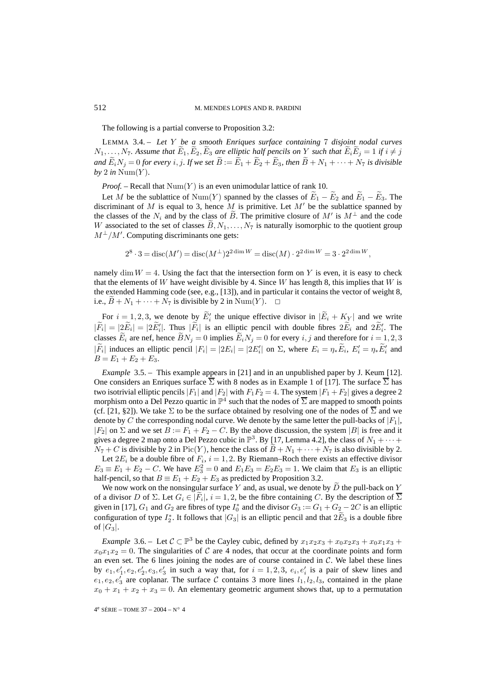The following is a partial converse to Proposition 3.2:

LEMMA 3.4. – *Let* Y *be a smooth Enriques surface containing* 7 *disjoint nodal curves*  $N_1,\ldots,N_7$ . Assume that  $\widetilde{E}_1,\widetilde{E}_2,\widetilde{E}_3$  are elliptic half pencils on Y such that  $\widetilde{E}_i\widetilde{E}_j=1$  if  $i\neq j$ *and*  $\widetilde{E}_i N_j = 0$  *for every i*, *j. If we set*  $\widetilde{B} := \widetilde{E}_1 + \widetilde{E}_2 + \widetilde{E}_3$ *, then*  $\widetilde{B} + N_1 + \cdots + N_7$  *is divisible*  $by$  2 *in* Num $(Y)$ *.* 

*Proof.* – Recall that  $Num(Y)$  is an even unimodular lattice of rank 10.

Let M be the sublattice of Num(Y) spanned by the classes of  $E_1 - E_2$  and  $E_1 - E_3$ . The discriminant of M is equal to 3, hence M is primitive. Let  $M'$  be the sublattice spanned by the classes of the  $N_i$  and by the class of B. The primitive closure of  $M'$  is  $M^{\perp}$  and the code W associated to the set of classes  $B, N_1, \ldots, N_7$  is naturally isomorphic to the quotient group  $M^{\perp}/M'$ . Computing discriminants one gets:

$$
2^{8} \cdot 3 = \text{disc}(M') = \text{disc}(M^{\perp})2^{2 \dim W} = \text{disc}(M) \cdot 2^{2 \dim W} = 3 \cdot 2^{2 \dim W},
$$

namely dim  $W = 4$ . Using the fact that the intersection form on Y is even, it is easy to check that the elements of W have weight divisible by 4. Since W has length 8, this implies that W is the extended Hamming code (see, e.g., [13]), and in particular it contains the vector of weight 8, i.e.,  $B + N_1 + \cdots + N_7$  is divisible by 2 in Num(Y).  $\Box$ 

For  $i = 1, 2, 3$ , we denote by  $E'_i$  the unique effective divisor in  $|E_i + K_Y|$  and we write  $|F_i| = |2E_i| = |2E'_i|$ . Thus  $|F_i|$  is an elliptic pencil with double fibres  $2E_i$  and  $2E'_i$ . The classes  $E_i$  are nef, hence  $\widetilde{B}N_j = 0$  implies  $\widetilde{E}_iN_j = 0$  for every  $i, j$  and therefore for  $i = 1, 2, 3$  $|F_i|$  induces an elliptic pencil  $|F_i| = |2E_i| = |2E'_i|$  on  $\Sigma$ , where  $E_i = \eta_* E_i$ ,  $E'_i = \eta_* E'_i$  and  $B = E_1 + E_2 + E_3.$ 

*Example* 3.5. – This example appears in [21] and in an unpublished paper by J. Keum [12]. One considers an Enriques surface  $\Sigma$  with 8 nodes as in Example 1 of [17]. The surface  $\Sigma$  has two isotrivial elliptic pencils  $|F_1|$  and  $|F_2|$  with  $F_1F_2 = 4$ . The system  $|F_1 + F_2|$  gives a degree 2 morphism onto a Del Pezzo quartic in  $\mathbb{P}^4$  such that the nodes of  $\overline{\Sigma}$  are mapped to smooth points (cf. [21, §2]). We take  $\Sigma$  to be the surface obtained by resolving one of the nodes of  $\Sigma$  and we denote by C the corresponding nodal curve. We denote by the same letter the pull-backs of  $|F_1|$ ,  $|F_2|$  on  $\Sigma$  and we set  $B := F_1 + F_2 - C$ . By the above discussion, the system  $|B|$  is free and it gives a degree 2 map onto a Del Pezzo cubic in  $\mathbb{P}^3$ . By [17, Lemma 4.2], the class of  $N_1 + \cdots +$  $N_7 + C$  is divisible by 2 in Pic(Y), hence the class of  $B + N_1 + \cdots + N_7$  is also divisible by 2.

Let  $2E_i$  be a double fibre of  $F_i$ ,  $i = 1, 2$ . By Riemann–Roch there exists an effective divisor  $E_3 \equiv E_1 + E_2 - C$ . We have  $E_3^2 = 0$  and  $E_1E_3 = E_2E_3 = 1$ . We claim that  $E_3$  is an elliptic half-pencil, so that  $B \equiv E_1 + E_2 + E_3$  as predicted by Proposition 3.2.

We now work on the nonsingular surface  $Y$  and, as usual, we denote by  $D$  the pull-back on  $Y$ of a divisor D of  $\Sigma$ . Let  $G_i \in |F_i|$ ,  $i = 1, 2$ , be the fibre containing C. By the description of  $\Sigma$ given in [17],  $G_1$  and  $G_2$  are fibres of type  $I_0^*$  and the divisor  $G_3 := G_1 + G_2 - 2C$  is an elliptic configuration of type  $I_2^*$ . It follows that  $|G_3|$  is an elliptic pencil and that  $2E_3$  is a double fibre of  $|G_3|$ .

*Example* 3.6. – Let  $C \subset \mathbb{P}^3$  be the Cayley cubic, defined by  $x_1x_2x_3 + x_0x_2x_3 + x_0x_1x_3 +$  $x_0x_1x_2 = 0$ . The singularities of C are 4 nodes, that occur at the coordinate points and form an even set. The 6 lines joining the nodes are of course contained in  $C$ . We label these lines by  $e_1, e'_1, e_2, e'_2, e_3, e'_3$  in such a way that, for  $i = 1, 2, 3, e_i, e'_i$  is a pair of skew lines and  $e_1, e_2, e'_3$  are coplanar. The surface C contains 3 more lines  $l_1, l_2, l_3$ , contained in the plane  $x_0 + x_1 + x_2 + x_3 = 0$ . An elementary geometric argument shows that, up to a permutation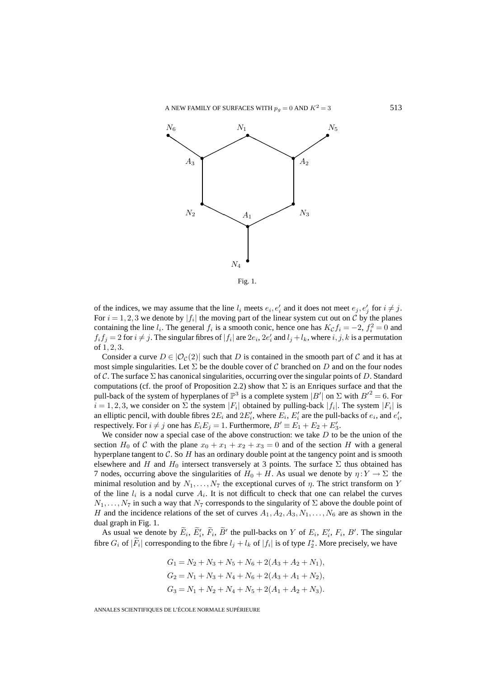

Fig. 1.

of the indices, we may assume that the line  $l_i$  meets  $e_i, e'_i$  and it does not meet  $e_j, e'_j$  for  $i \neq j$ . For  $i = 1, 2, 3$  we denote by  $|f_i|$  the moving part of the linear system cut out on C by the planes containing the line  $l_i$ . The general  $f_i$  is a smooth conic, hence one has  $K_c f_i = -2$ ,  $f_i^2 = 0$  and  $f_i f_j = 2$  for  $i \neq j$ . The singular fibres of  $|f_i|$  are  $2e_i$ ,  $2e'_i$  and  $l_j + l_k$ , where  $i, j, k$  is a permutation of 1, 2, 3.

Consider a curve  $D \in |\mathcal{O}_C(2)|$  such that D is contained in the smooth part of C and it has at most simple singularities. Let  $\Sigma$  be the double cover of C branched on D and on the four nodes of C. The surface  $\Sigma$  has canonical singularities, occurring over the singular points of D. Standard computations (cf. the proof of Proposition 2.2) show that  $\Sigma$  is an Enriques surface and that the pull-back of the system of hyperplanes of  $\mathbb{P}^3$  is a complete system  $|B'|$  on  $\Sigma$  with  $B'^2 = 6$ . For  $i = 1, 2, 3$ , we consider on  $\Sigma$  the system  $|F_i|$  obtained by pulling-back  $|f_i|$ . The system  $|F_i|$  is an elliptic pencil, with double fibres  $2E_i$  and  $2E'_i$ , where  $E_i$ ,  $E'_i$  are the pull-backs of  $e_i$ , and  $e'_i$ , respectively. For  $i \neq j$  one has  $E_i E_j = 1$ . Furthermore,  $B' \equiv E_1 + E_2 + E'_3$ .

We consider now a special case of the above construction: we take  $D$  to be the union of the section  $H_0$  of C with the plane  $x_0 + x_1 + x_2 + x_3 = 0$  and of the section H with a general hyperplane tangent to  $C$ . So  $H$  has an ordinary double point at the tangency point and is smooth elsewhere and H and  $H_0$  intersect transversely at 3 points. The surface  $\Sigma$  thus obtained has 7 nodes, occurring above the singularities of  $H_0 + H$ . As usual we denote by  $\eta: Y \to \Sigma$  the minimal resolution and by  $N_1, \ldots, N_7$  the exceptional curves of  $\eta$ . The strict transform on Y of the line  $l_i$  is a nodal curve  $A_i$ . It is not difficult to check that one can relabel the curves  $N_1,\ldots,N_7$  in such a way that  $N_7$  corresponds to the singularity of  $\Sigma$  above the double point of H and the incidence relations of the set of curves  $A_1, A_2, A_3, N_1, \ldots, N_6$  are as shown in the dual graph in Fig. 1.

As usual we denote by  $E_i$ ,  $E'_i$ ,  $F_i$ ,  $B'$  the pull-backs on Y of  $E_i$ ,  $E'_i$ ,  $F_i$ ,  $B'$ . The singular fibre  $G_i$  of  $|F_i|$  corresponding to the fibre  $l_j + l_k$  of  $|f_i|$  is of type  $I_2^*$ . More precisely, we have

$$
G_1 = N_2 + N_3 + N_5 + N_6 + 2(A_3 + A_2 + N_1),
$$
  
\n
$$
G_2 = N_1 + N_3 + N_4 + N_6 + 2(A_3 + A_1 + N_2),
$$
  
\n
$$
G_3 = N_1 + N_2 + N_4 + N_5 + 2(A_1 + A_2 + N_3).
$$

ANNALES SCIENTIFIQUES DE L'ÉCOLE NORMALE SUPÉRIEURE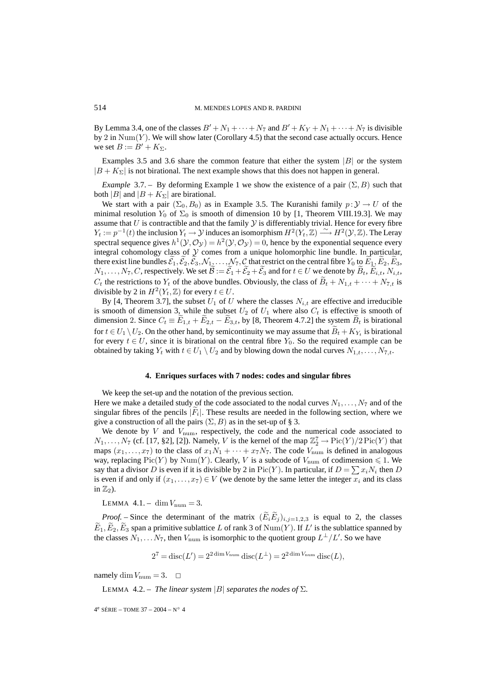By Lemma 3.4, one of the classes  $B' + N_1 + \cdots + N_7$  and  $B' + K_Y + N_1 + \cdots + N_7$  is divisible by 2 in  $\text{Num}(Y)$ . We will show later (Corollary 4.5) that the second case actually occurs. Hence we set  $B := B' + K_{\Sigma}$ .

Examples 3.5 and 3.6 share the common feature that either the system  $|B|$  or the system  $|B + K_{\Sigma}|$  is not birational. The next example shows that this does not happen in general.

*Example* 3.7. – By deforming Example 1 we show the existence of a pair  $(\Sigma, B)$  such that both |B| and  $|B + K_{\Sigma}|$  are birational.

We start with a pair  $(\Sigma_0, B_0)$  as in Example 3.5. The Kuranishi family  $p: \mathcal{Y} \to U$  of the minimal resolution  $Y_0$  of  $\Sigma_0$  is smooth of dimension 10 by [1, Theorem VIII.19.3]. We may assume that  $U$  is contractible and that the family  $Y$  is differentiably trivial. Hence for every fibre  $Y_t := p^{-1}(t)$  the inclusion  $Y_t \to Y$  induces an isomorphism  $H^2(Y_t, \mathbb{Z}) \longrightarrow H^2(Y, \mathbb{Z})$ . The Leray spectral sequence gives  $h^1(Y, \mathcal{O}_Y) = h^2(Y, \mathcal{O}_Y) = 0$ , hence by the exponential sequence every integral cohomology class of  $Y$  comes from a unique holomorphic line bundle. In particular, there exist line bundles  $\mathcal{E}_1, \mathcal{E}_2, \mathcal{E}_3, \mathcal{N}_{1,2}, \ldots, \mathcal{N}_7, \mathcal{C}$  that restrict on the central fibre  $Y_0$  to  $E_1, E_2, E_3,$  $N_1,\ldots,N_7,C$ , respectively. We set  $\mathcal{B} := \mathcal{E}_1+\mathcal{E}_2+\mathcal{E}_3$  and for  $t \in U$  we denote by  $B_t, E_{i,t}, N_{i,t},$  $C_t$  the restrictions to  $Y_t$  of the above bundles. Obviously, the class of  $B_t + N_{1,t} + \cdots + N_{7,t}$  is divisible by 2 in  $H^2(Y_t, \mathbb{Z})$  for every  $t \in U$ .

By [4, Theorem 3.7], the subset  $U_1$  of U where the classes  $N_{i,t}$  are effective and irreducible is smooth of dimension 3, while the subset  $U_2$  of  $U_1$  where also  $C_t$  is effective is smooth of dimension 2. Since  $C_t \equiv E_{1,t} + E_{2,t} - E_{3,t}$ , by [8, Theorem 4.7.2] the system  $B_t$  is birational for  $t \in U_1 \setminus U_2$ . On the other hand, by semicontinuity we may assume that  $\tilde{B}_t + K_Y$  is birational for every  $t \in U$ , since it is birational on the central fibre  $Y_0$ . So the required example can be obtained by taking  $Y_t$  with  $t \in U_1 \setminus U_2$  and by blowing down the nodal curves  $N_{1,t},...,N_{7,t}$ .

#### **4. Enriques surfaces with 7 nodes: codes and singular fibres**

We keep the set-up and the notation of the previous section.

Here we make a detailed study of the code associated to the nodal curves  $N_1, \ldots, N_7$  and of the singular fibres of the pencils  $|F_i|$ . These results are needed in the following section, where we give a construction of all the pairs  $(\Sigma, B)$  as in the set-up of § 3.

We denote by  $V$  and  $V_{\text{num}}$ , respectively, the code and the numerical code associated to  $N_1, \ldots, N_7$  (cf. [17, §2], [2]). Namely, V is the kernel of the map  $\mathbb{Z}_2^7 \to \mathrm{Pic}(Y)/2\mathrm{Pic}(Y)$  that maps  $(x_1,...,x_7)$  to the class of  $x_1N_1 + \cdots + x_7N_7$ . The code  $V_{\text{num}}$  is defined in analogous way, replacing  $Pic(Y)$  by Num(Y). Clearly, V is a subcode of  $V_{\text{num}}$  of codimension  $\leq 1$ . We say that a divisor D is even if it is divisible by 2 in Pic(Y). In particular, if  $D = \sum x_i N_i$  then D is even if and only if  $(x_1,...,x_7) \in V$  (we denote by the same letter the integer  $x_i$  and its class in  $\mathbb{Z}_2$ ).

LEMMA  $4.1. - \dim V_{\text{num}} = 3.$ 

*Proof.* – Since the determinant of the matrix  $(E_i E_j)_{i,j=1,2,3}$  is equal to 2, the classes  $E_1, E_2, E_3$  span a primitive sublattice L of rank 3 of Num(Y). If L' is the sublattice spanned by the classes  $N_1, \ldots N_7$ , then  $V_{\text{num}}$  is isomorphic to the quotient group  $L^{\perp}/L'$ . So we have

$$
27 = \operatorname{disc}(L') = 22 \dim V_{\text{num}} \operatorname{disc}(L^{\perp}) = 22 \dim V_{\text{num}} \operatorname{disc}(L),
$$

namely dim  $V_{\text{num}} = 3$ .  $\Box$ 

LEMMA 4.2. – *The linear system*  $|B|$  *separates the nodes of*  $\Sigma$ *.*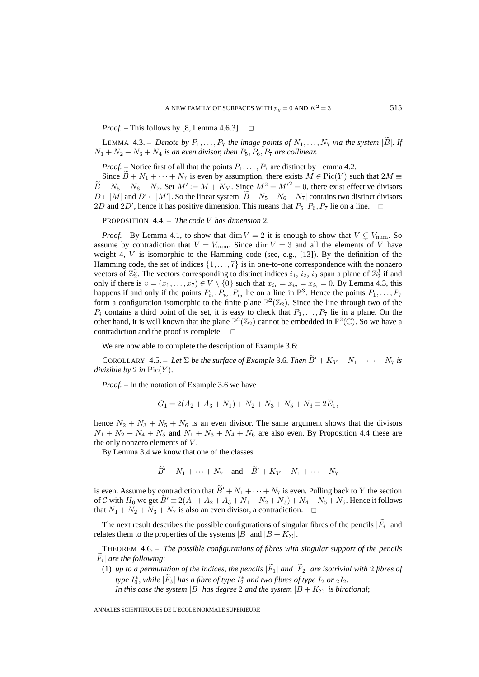*Proof.* – This follows by [8, Lemma 4.6.3].  $\Box$ 

LEMMA 4.3. – *Denote by*  $P_1, \ldots, P_7$  *the image points of*  $N_1, \ldots, N_7$  *via the system*  $|\overrightarrow{B}|$ *. If*  $N_1 + N_2 + N_3 + N_4$  *is an even divisor, then*  $P_5, P_6, P_7$  *are collinear.* 

*Proof.* – Notice first of all that the points  $P_1, \ldots, P_7$  are distinct by Lemma 4.2.

Since  $\overline{B} + N_1 + \cdots + N_7$  is even by assumption, there exists  $M \in Pic(Y)$  such that  $2M \equiv$  $\widetilde{B} - N_5 - N_6 - N_7$ . Set  $M' := M + K_Y$ . Since  $M^2 = M'^2 = 0$ , there exist effective divisors  $D \in |M|$  and  $D' \in |M'|$ . So the linear system  $|B - N_5 - N_6 - N_7|$  contains two distinct divisors 2D and 2D', hence it has positive dimension. This means that  $P_5$ ,  $P_6$ ,  $P_7$  lie on a line.  $\Box$ 

PROPOSITION 4.4. – *The code* V *has dimension* 2*.*

*Proof.* – By Lemma 4.1, to show that dim  $V = 2$  it is enough to show that  $V \subsetneq V_{\text{num}}$ . So assume by contradiction that  $V = V_{\text{num}}$ . Since  $\dim V = 3$  and all the elements of V have weight 4,  $V$  is isomorphic to the Hamming code (see, e.g., [13]). By the definition of the Hamming code, the set of indices  $\{1,\ldots,7\}$  is in one-to-one correspondence with the nonzero vectors of  $\mathbb{Z}_2^3$ . The vectors corresponding to distinct indices  $i_1$ ,  $i_2$ ,  $i_3$  span a plane of  $\mathbb{Z}_2^3$  if and only if there is  $v = (x_1, \ldots, x_7) \in V \setminus \{0\}$  such that  $x_{i_1} = x_{i_2} = x_{i_3} = 0$ . By Lemma 4.3, this happens if and only if the points  $P_{i_1}, P_{i_2}, P_{i_3}$  lie on a line in  $\mathbb{P}^3$ . Hence the points  $P_1, \ldots, P_7$ form a configuration isomorphic to the finite plane  $\mathbb{P}^2(\mathbb{Z}_2)$ . Since the line through two of the  $P_i$  contains a third point of the set, it is easy to check that  $P_1, \ldots, P_7$  lie in a plane. On the other hand, it is well known that the plane  $\mathbb{P}^2(\mathbb{Z}_2)$  cannot be embedded in  $\mathbb{P}^2(\mathbb{C})$ . So we have a contradiction and the proof is complete.  $\Box$ 

We are now able to complete the description of Example 3.6:

COROLLARY 4.5. – Let  $\Sigma$  be the surface of Example 3.6. Then  $B' + K_Y + N_1 + \cdots + N_7$  is *divisible by* 2 *in*  $Pic(Y)$ *.* 

*Proof. –* In the notation of Example 3.6 we have

$$
G_1 = 2(A_2 + A_3 + N_1) + N_2 + N_3 + N_5 + N_6 \equiv 2E_1,
$$

hence  $N_2 + N_3 + N_5 + N_6$  is an even divisor. The same argument shows that the divisors  $N_1 + N_2 + N_4 + N_5$  and  $N_1 + N_3 + N_4 + N_6$  are also even. By Proposition 4.4 these are the only nonzero elements of  $V$ .

By Lemma 3.4 we know that one of the classes

$$
\ddot{B}' + N_1 + \dots + N_7 \quad \text{and} \quad \ddot{B}' + K_Y + N_1 + \dots + N_7
$$

is even. Assume by contradiction that  $B' + N_1 + \cdots + N_7$  is even. Pulling back to Y the section of C with  $H_0$  we get  $B' \equiv 2(A_1 + A_2 + A_3 + N_1 + N_2 + N_3) + N_4 + N_5 + N_6$ . Hence it follows that  $N_1 + N_2 + N_3 + N_7$  is also an even divisor, a contradiction.  $\Box$ 

The next result describes the possible configurations of singular fibres of the pencils  $|\widetilde{F}_i|$  and relates them to the properties of the systems  $|B|$  and  $|B + K_{\Sigma}|$ .

THEOREM 4.6. – *The possible configurations of fibres with singular support of the pencils*  $|F_i|$  *are the following*:

(1) *up to a permutation of the indices, the pencils*  $|\widetilde{F}_1|$  *and*  $|\widetilde{F}_2|$  *are isotrivial with* 2 *fibres of type*  $I_0^*$ , while  $|F_3|$  has a fibre of type  $I_2^*$  and two fibres of type  $I_2$  or  $_2I_2$ . *In this case the system*  $|B|$  *has degree* 2 *and the system*  $|B + K_{\Sigma}|$  *is birational*;

ANNALES SCIENTIFIQUES DE L'ÉCOLE NORMALE SUPÉRIEURE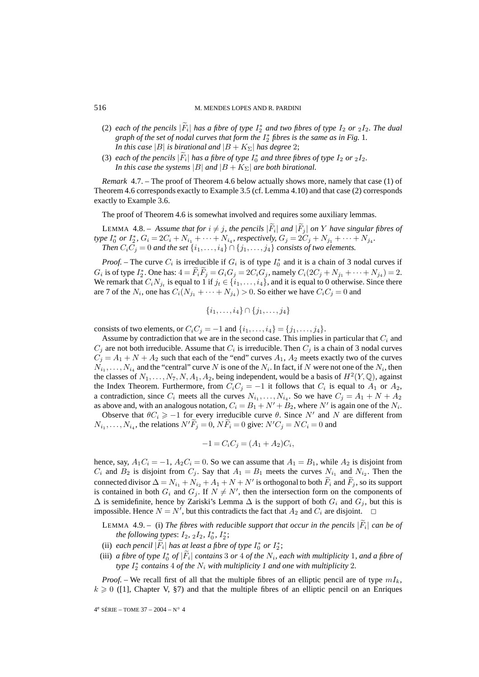- (2) each of the pencils  $|F_i|$  has a fibre of type  $I_2^*$  and two fibres of type  $I_2$  or  $_2I_2$ . The dual graph of the set of nodal curves that form the  $I_2^*$  fibres is the same as in Fig. 1. *In this case* |B| *is birational and*  $|B + K_{\Sigma}|$  *has degree* 2;
- (3) *each of the pencils*  $|F_i|$  *has a fibre of type*  $I_0^*$  *and three fibres of type*  $I_2$  *or*  $_2I_2$ *. In this case the systems*  $|B|$  *and*  $|B + K_{\Sigma}|$  *are both birational.*

*Remark* 4.7. – The proof of Theorem 4.6 below actually shows more, namely that case (1) of Theorem 4.6 corresponds exactly to Example 3.5 (cf. Lemma 4.10) and that case (2) corresponds exactly to Example 3.6.

The proof of Theorem 4.6 is somewhat involved and requires some auxiliary lemmas.

LEMMA 4.8. – Assume that for  $i \neq j$ , the pencils  $|F_i|$  and  $|F_j|$  on Y have singular fibres of *type*  $I_0^*$  *or*  $I_2^*$ *,*  $G_i = 2C_i + N_{i_1} + \cdots + N_{i_4}$ *, respectively,*  $G_j = 2C_j + N_{j_1} + \cdots + N_{j_4}$ *. Then*  $C_iC_j = 0$  *and the set*  $\{i_1, \ldots, i_4\} \cap \{j_1, \ldots, j_4\}$  *consists of two elements.* 

*Proof.* – The curve  $C_i$  is irreducible if  $G_i$  is of type  $I_0^*$  and it is a chain of 3 nodal curves if  $G_i$  is of type  $I_2^*$ . One has:  $4 = F_i F_j = G_i G_j = 2C_i G_j$ , namely  $C_i(2C_j + N_{j_1} + \cdots + N_{j_4}) = 2$ . We remark that  $C_iN_{j_t}$  is equal to 1 if  $j_t \in \{i_1,\ldots,i_4\}$ , and it is equal to 0 otherwise. Since there are 7 of the  $N_i$ , one has  $C_i(N_{i_1} + \cdots + N_{i_4}) > 0$ . So either we have  $C_i C_j = 0$  and

$$
\{i_1,\ldots,i_4\}\cap\{j_1,\ldots,j_4\}
$$

consists of two elements, or  $C_iC_j = -1$  and  $\{i_1,\ldots,i_4\} = \{j_1,\ldots,j_4\}.$ 

Assume by contradiction that we are in the second case. This implies in particular that  $C_i$  and  $C_j$  are not both irreducible. Assume that  $C_i$  is irreducible. Then  $C_j$  is a chain of 3 nodal curves  $C_j = A_1 + N + A_2$  such that each of the "end" curves  $A_1$ ,  $A_2$  meets exactly two of the curves  $N_{i_1},\ldots,N_{i_4}$  and the "central" curve N is one of the  $N_i$ . In fact, if N were not one of the  $N_i$ , then the classes of  $N_1, \ldots, N_7, N, A_1, A_2$ , being independent, would be a basis of  $H^2(Y, \mathbb{Q})$ , against the Index Theorem. Furthermore, from  $C_iC_j = -1$  it follows that  $C_i$  is equal to  $A_1$  or  $A_2$ , a contradiction, since  $C_i$  meets all the curves  $N_{i_1},...,N_{i_4}$ . So we have  $C_j = A_1 + N + A_2$ as above and, with an analogous notation,  $C_i = B_1 + N' + B_2$ , where N' is again one of the  $N_i$ .

Observe that  $\theta C_i \ge -1$  for every irreducible curve  $\theta$ . Since N' and N are different from  $N_{i_1}, \ldots, N_{i_4}$ , the relations  $N'F_j = 0$ ,  $NF_i = 0$  give:  $N'C_j = NC_i = 0$  and

$$
-1 = C_i C_j = (A_1 + A_2)C_i,
$$

hence, say,  $A_1C_i = -1$ ,  $A_2C_i = 0$ . So we can assume that  $A_1 = B_1$ , while  $A_2$  is disjoint from  $C_i$  and  $B_2$  is disjoint from  $C_j$ . Say that  $A_1 = B_1$  meets the curves  $N_{i_1}$  and  $N_{i_2}$ . Then the connected divisor  $\Delta = N_{i_1} + N_{i_2} + A_1 + N + N'$  is orthogonal to both  $F_i$  and  $F_j$ , so its support is contained in both  $G_i$  and  $G_j$ . If  $N \neq N'$ , then the intersection form on the components of  $\Delta$  is semidefinite, hence by Zariski's Lemma  $\Delta$  is the support of both  $G_i$  and  $G_j$ , but this is impossible. Hence  $N = N'$ , but this contradicts the fact that  $A_2$  and  $C_i$  are disjoint.  $\Box$ 

LEMMA 4.9. – (i) The fibres with reducible support that occur in the pencils  $|\tilde{F}_i|$  can be of *the following types*:  $I_2$ ,  $_2I_2$ ,  $I_0^*$ ,  $I_2^*$ ;

- (ii) *each pencil*  $|F_i|$  *has at least a fibre of type*  $I_0^*$  *or*  $I_2^*$ ;
- (iii) *a fibre of type*  $I_0^*$  *of*  $|F_i|$  *contains* 3 *or* 4 *of the*  $N_i$ *, each with multiplicity* 1*, and a fibre of type*  $I_2^*$  *contains* 4 *of the*  $N_i$  *with multiplicity* 1 *and one with multiplicity* 2*.*

*Proof.* – We recall first of all that the multiple fibres of an elliptic pencil are of type  $mI_k$ ,  $k \geq 0$  ([1], Chapter V, §7) and that the multiple fibres of an elliptic pencil on an Enriques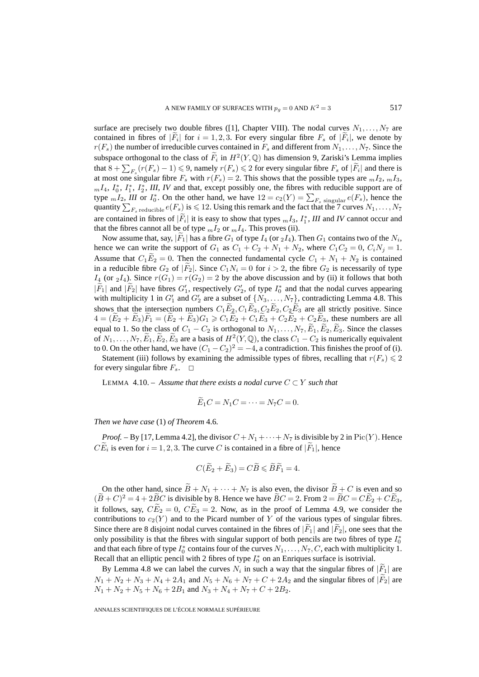surface are precisely two double fibres ([1], Chapter VIII). The nodal curves  $N_1, \ldots, N_7$  are contained in fibres of  $|F_i|$  for  $i = 1, 2, 3$ . For every singular fibre  $F_s$  of  $|F_i|$ , we denote by  $r(F_s)$  the number of irreducible curves contained in  $F_s$  and different from  $N_1, \ldots, N_7$ . Since the subspace orthogonal to the class of  $\tilde{F}_i$  in  $H^2(Y, \mathbb{Q})$  has dimension 9, Zariski's Lemma implies that  $8 + \sum_{F_s} (r(F_s) - 1) \leq 9$ , namely  $r(F_s) \leq 2$  for every singular fibre  $F_s$  of  $|\tilde{F}_i|$  and there is at most one singular fibre  $F_s$  with  $r(F_s)=2$ . This shows that the possible types are  $mI_2$ ,  $mI_3$ ,  $m_1, I_4, I_0^*, I_1^*, I_2^*, III, IV$  and that, except possibly one, the fibres with reducible support are of type  ${}_{m}I_{2}$ , *III* or  $I_{0}^{*}$ . On the other hand, we have  $12 = c_{2}(Y) = \sum_{F_s} \frac{1}{\text{singular}} e(F_s)$ , hence the quantity  $\sum_{F_s \text{ reducible}} e(F_s)$  is  $\leq 12$ . Using this remark and the fact that the 7 curves  $N_1, \ldots, N_7$ are contained in fibres of  $|F_i|$  it is easy to show that types  $_mI_3$ ,  $I_1^*$ , *III* and *IV* cannot occur and that the fibres cannot all be of type  $_mI_2$  or  $_mI_4$ . This proves (ii).

Now assume that, say,  $|F_1|$  has a fibre  $G_1$  of type  $I_4$  (or  $_2I_4$ ). Then  $G_1$  contains two of the  $N_i$ , hence we can write the support of  $G_1$  as  $C_1 + C_2 + N_1 + N_2$ , where  $C_1C_2 = 0$ ,  $C_iN_j = 1$ . Assume that  $C_1E_2 = 0$ . Then the connected fundamental cycle  $C_1 + N_1 + N_2$  is contained in a reducible fibre  $G_2$  of  $|F_2|$ . Since  $C_1N_i = 0$  for  $i > 2$ , the fibre  $G_2$  is necessarily of type  $I_4$  (or  $_2I_4$ ). Since  $r(G_1) = r(G_2) = 2$  by the above discussion and by (ii) it follows that both  $|F_1|$  and  $|F_2|$  have fibres  $G'_1$ , respectively  $G'_2$ , of type  $I_0^*$  and that the nodal curves appearing with multiplicity 1 in  $G'_1$  and  $G'_2$  are a subset of  $\{N_3, \ldots, N_7\}$ , contradicting Lemma 4.8. This shows that the intersection numbers  $C_1E_2, C_1E_3, C_2E_2, C_2E_3$  are all strictly positive. Since  $4 = (E_2 + E_3)F_1 = (E_2 + E_3)G_1 \ge C_1E_2 + C_1E_3 + C_2E_2 + C_2E_3$ , these numbers are all equal to 1. So the class of  $C_1 - C_2$  is orthogonal to  $N_1, \ldots, N_7$ ,  $\widetilde{E}_1, \widetilde{E}_2, \widetilde{E}_3$ . Since the classes of  $N_1,\ldots,N_7,\widetilde{E}_1,\widetilde{E}_2,\widetilde{E}_3$  are a basis of  $H^2(Y,\mathbb{Q})$ , the class  $C_1 - C_2$  is numerically equivalent to 0. On the other hand, we have  $(C_1 - C_2)^2 = -4$ , a contradiction. This finishes the proof of (i).

Statement (iii) follows by examining the admissible types of fibres, recalling that  $r(F_s) \leq 2$ for every singular fibre  $F_s$ .  $\Box$ 

LEMMA 4.10. – Assume that there exists a nodal curve  $C \subset Y$  such that

$$
\widetilde{E}_1 C = N_1 C = \cdots = N_7 C = 0.
$$

*Then we have case* (1) *of Theorem* 4.6*.*

*Proof.* – By [17, Lemma 4.2], the divisor  $C + N_1 + \cdots + N_7$  is divisible by 2 in Pic $(Y)$ . Hence  $CE_i$  is even for  $i = 1, 2, 3$ . The curve C is contained in a fibre of  $|F_1|$ , hence

$$
C(\widetilde{E}_2 + \widetilde{E}_3) = C\widetilde{B} \leqslant \widetilde{B}\widetilde{F}_1 = 4.
$$

On the other hand, since  $\tilde{B} + N_1 + \cdots + N_7$  is also even, the divisor  $\tilde{B} + C$  is even and so  $(\widetilde{B} + C)^2 = 4 + 2\widetilde{B}C$  is divisible by 8. Hence we have  $\widetilde{B}C = 2$ . From  $2 = \widetilde{B}C = C\widetilde{E}_2 + C\widetilde{E}_3$ , it follows, say,  $\widetilde{CE}_2 = 0$ ,  $\widetilde{CE}_3 = 2$ . Now, as in the proof of Lemma 4.9, we consider the contributions to  $c_2(Y)$  and to the Picard number of Y of the various types of singular fibres. Since there are 8 disjoint nodal curves contained in the fibres of  $|F_1|$  and  $|F_2|$ , one sees that the only possibility is that the fibres with singular support of both pencils are two fibres of type  $I_0^*$ and that each fibre of type  $I_0^*$  contains four of the curves  $N_1, \ldots, N_7, C$ , each with multiplicity 1. Recall that an elliptic pencil with 2 fibres of type  $I_0^*$  on an Enriques surface is isotrivial.

By Lemma 4.8 we can label the curves  $N_i$  in such a way that the singular fibres of  $|F_1|$  are  $N_1 + N_2 + N_3 + N_4 + 2A_1$  and  $N_5 + N_6 + N_7 + C + 2A_2$  and the singular fibres of  $|F_2|$  are  $N_1 + N_2 + N_5 + N_6 + 2B_1$  and  $N_3 + N_4 + N_7 + C + 2B_2$ .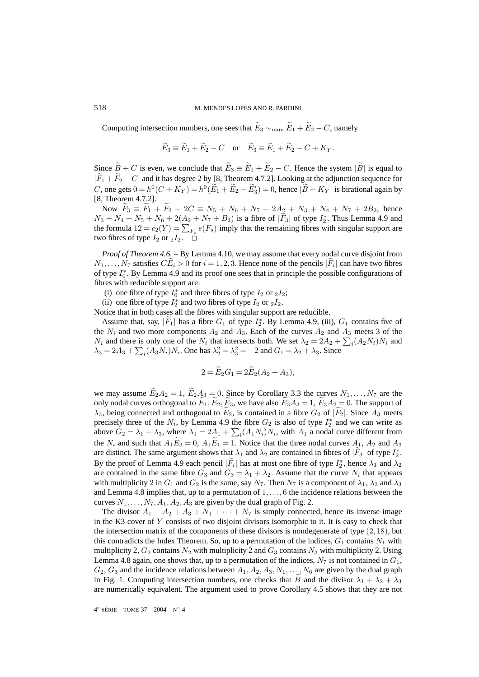Computing intersection numbers, one sees that  $\widetilde{E}_3 \sim_{\text{num}} \widetilde{E}_1 + \widetilde{E}_2 - C$ , namely

$$
\widetilde{E}_3 \equiv \widetilde{E}_1 + \widetilde{E}_2 - C
$$
 or  $\widetilde{E}_3 \equiv \widetilde{E}_1 + \widetilde{E}_2 - C + K_Y$ .

Since  $\widetilde{B} + C$  is even, we conclude that  $\widetilde{E}_3 \equiv \widetilde{E}_1 + \widetilde{E}_2 - C$ . Hence the system  $|\widetilde{B}|$  is equal to  $|F_1 + F_2 - C|$  and it has degree 2 by [8, Theorem 4.7.2]. Looking at the adjunction sequence for C, one gets  $0 = h^0(C + K_Y) = h^0(\tilde{E}_1 + \tilde{E}_2 - \tilde{E}'_3) = 0$ , hence  $|\tilde{B} + K_Y|$  is birational again by [8, Theorem 4.7.2].

Now  $\widetilde{F}_3 \equiv \widetilde{F}_1 + \widetilde{F}_2 - 2C \equiv N_5 + N_6 + N_7 + 2A_2 + N_3 + N_4 + N_7 + 2B_2$ , hence  $N_3 + N_4 + N_5 + N_6 + 2(\underline{A_2} + N_7 + B_2)$  is a fibre of  $|F_3|$  of type  $I_2^*$ . Thus Lemma 4.9 and the formula  $12 = c_2(Y) = \sum_{F_s} e(F_s)$  imply that the remaining fibres with singular support are two fibres of type  $I_2$  or  $_2I_2$ .  $\Box$ 

*Proof of Theorem 4.6.* – By Lemma 4.10, we may assume that every nodal curve disjoint from  $N_1,\ldots,N_7$  satisfies  $CE_i > 0$  for  $i = 1, 2, 3$ . Hence none of the pencils  $|F_i|$  can have two fibres of type  $I_0^*$ . By Lemma 4.9 and its proof one sees that in principle the possible configurations of fibres with reducible support are:

- (i) one fibre of type  $I_0^*$  and three fibres of type  $I_2$  or  $_2I_2$ ;
- (ii) one fibre of type  $I_2^*$  and two fibres of type  $I_2$  or  $_2I_2$ .

Notice that in both cases all the fibres with singular support are reducible.

Assume that, say,  $|F_1|$  has a fibre  $G_1$  of type  $I_2^*$ . By Lemma 4.9, (iii),  $G_1$  contains five of the  $N_i$  and two more components  $A_2$  and  $A_3$ . Each of the curves  $A_2$  and  $A_3$  meets 3 of the  $N_i$  and there is only one of the  $N_i$  that intersects both. We set  $\lambda_2 = 2A_2 + \sum_i (A_2 N_i) N_i$  and  $\lambda_3 = 2A_3 + \sum_i (A_3 N_i) N_i$ . One has  $\lambda_2^2 = \lambda_3^2 = -2$  and  $G_1 = \lambda_2 + \lambda_3$ . Since

$$
2 = E_2 G_1 = 2E_2 (A_2 + A_3),
$$

we may assume  $\widetilde{E}_2A_2 = 1$ ,  $\widetilde{E}_2A_3 = 0$ . Since by Corollary 3.3 the curves  $N_1, \ldots, N_7$  are the only nodal curves orthogonal to  $E_1, E_2, E_3$ , we have also  $E_3A_3 = 1, E_3A_2 = 0$ . The support of  $\lambda_3$ , being connected and orthogonal to  $E_2$ , is contained in a fibre  $G_2$  of  $|F_2|$ . Since  $A_3$  meets precisely three of the  $N_i$ , by Lemma 4.9 the fibre  $G_2$  is also of type  $I_2^*$  and we can write as above  $G_2 = \lambda_1 + \lambda_3$ , where  $\lambda_1 = 2A_1 + \sum_i (A_1 N_i)N_i$ , with  $A_1$  a nodal curve different from the  $N_i$  and such that  $A_1E_3 = 0$ ,  $A_1E_1 = 1$ . Notice that the three nodal curves  $A_1$ ,  $A_2$  and  $A_3$ are distinct. The same argument shows that  $\lambda_1$  and  $\lambda_2$  are contained in fibres of  $|F_3|$  of type  $I_2^*$ . By the proof of Lemma 4.9 each pencil  $|F_i|$  has at most one fibre of type  $I_2^*$ , hence  $\lambda_1$  and  $\lambda_2$ are contained in the same fibre  $G_3$  and  $G_3 = \lambda_1 + \lambda_2$ . Assume that the curve  $N_i$  that appears with multiplicity 2 in  $G_1$  and  $G_2$  is the same, say  $N_7$ . Then  $N_7$  is a component of  $\lambda_1$ ,  $\lambda_2$  and  $\lambda_3$ and Lemma 4.8 implies that, up to a permutation of  $1, \ldots, 6$  the incidence relations between the curves  $N_1, \ldots, N_7, A_1, A_2, A_3$  are given by the dual graph of Fig. 2.

The divisor  $A_1 + A_2 + A_3 + N_1 + \cdots + N_7$  is simply connected, hence its inverse image in the K3 cover of  $Y$  consists of two disjoint divisors isomorphic to it. It is easy to check that the intersection matrix of the components of these divisors is nondegenerate of type  $(2, 18)$ , but this contradicts the Index Theorem. So, up to a permutation of the indices,  $G_1$  contains  $N_1$  with multiplicity 2,  $G_2$  contains  $N_2$  with multiplicity 2 and  $G_3$  contains  $N_3$  with multiplicity 2. Using Lemma 4.8 again, one shows that, up to a permutation of the indices,  $N_7$  is not contained in  $G_1$ ,  $G_2, G_3$  and the incidence relations between  $A_1, A_2, A_3, N_1, \ldots, N_6$  are given by the dual graph in Fig. 1. Computing intersection numbers, one checks that B and the divisor  $\lambda_1 + \lambda_2 + \lambda_3$ are numerically equivalent. The argument used to prove Corollary 4.5 shows that they are not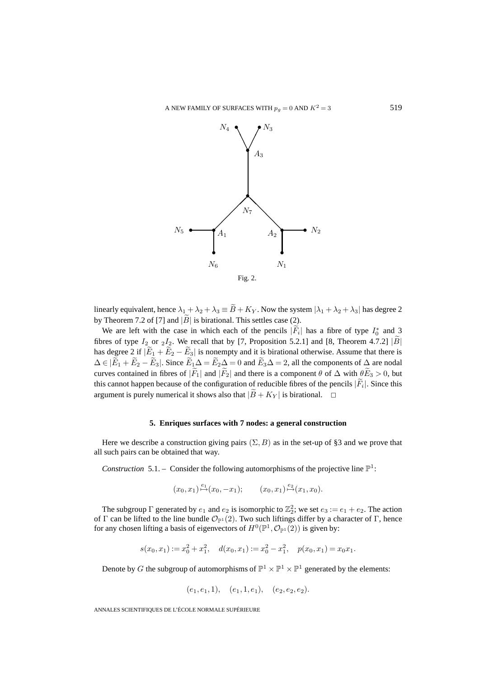

linearly equivalent, hence  $\lambda_1 + \lambda_2 + \lambda_3 \equiv \widetilde{B} + K_Y$ . Now the system  $|\lambda_1 + \lambda_2 + \lambda_3|$  has degree 2 by Theorem 7.2 of [7] and  $|\widetilde{B}|$  is birational. This settles case (2).

We are left with the case in which each of the pencils  $|F_i|$  has a fibre of type  $I_0^*$  and 3 fibres of type  $I_2$  or  $_2I_2$ . We recall that by [7, Proposition 5.2.1] and [8, Theorem 4.7.2] |B| has degree 2 if  $|\widetilde{E}_1 + \widetilde{E}_2 - \widetilde{E}_3|$  is nonempty and it is birational otherwise. Assume that there is  $\Delta \in |\widetilde{E}_1 + \widetilde{E}_2 - \widetilde{E}_3|$ . Since  $\widetilde{E}_1 \Delta = \widetilde{E}_2 \Delta = 0$  and  $\widetilde{E}_3 \Delta = 2$ , all the components of  $\Delta$  are nodal curves contained in fibres of  $|\widetilde{F}_1|$  and  $|\widetilde{F}_2|$  and there is a component  $\theta$  of  $\Delta$  with  $\theta \widetilde{E}_3 > 0$ , but this cannot happen because of the configuration of reducible fibres of the pencils  $|\vec{F}_i|$ . Since this argument is purely numerical it shows also that  $|\overline{B} + K_Y|$  is birational.  $\Box$ 

### **5. Enriques surfaces with 7 nodes: a general construction**

Here we describe a construction giving pairs  $(\Sigma, B)$  as in the set-up of §3 and we prove that all such pairs can be obtained that way.

*Construction* 5.1. – Consider the following automorphisms of the projective line  $\mathbb{P}^1$ :

$$
(x_0, x_1) \stackrel{e_1}{\mapsto} (x_0, -x_1);
$$
  $(x_0, x_1) \stackrel{e_2}{\mapsto} (x_1, x_0).$ 

The subgroup  $\Gamma$  generated by  $e_1$  and  $e_2$  is isomorphic to  $\mathbb{Z}_2^2$ ; we set  $e_3 := e_1 + e_2$ . The action of Γ can be lifted to the line bundle  $\mathcal{O}_{\mathbb{P}^1}(2)$ . Two such liftings differ by a character of Γ, hence for any chosen lifting a basis of eigenvectors of  $H^0(\mathbb{P}^1, \mathcal{O}_{\mathbb{P}^1}(2))$  is given by:

$$
s(x_0, x_1) := x_0^2 + x_1^2, \quad d(x_0, x_1) := x_0^2 - x_1^2, \quad p(x_0, x_1) = x_0 x_1.
$$

Denote by G the subgroup of automorphisms of  $\mathbb{P}^1 \times \mathbb{P}^1 \times \mathbb{P}^1$  generated by the elements:

$$
(e_1, e_1, 1), \quad (e_1, 1, e_1), \quad (e_2, e_2, e_2).
$$

ANNALES SCIENTIFIQUES DE L'ÉCOLE NORMALE SUPÉRIEURE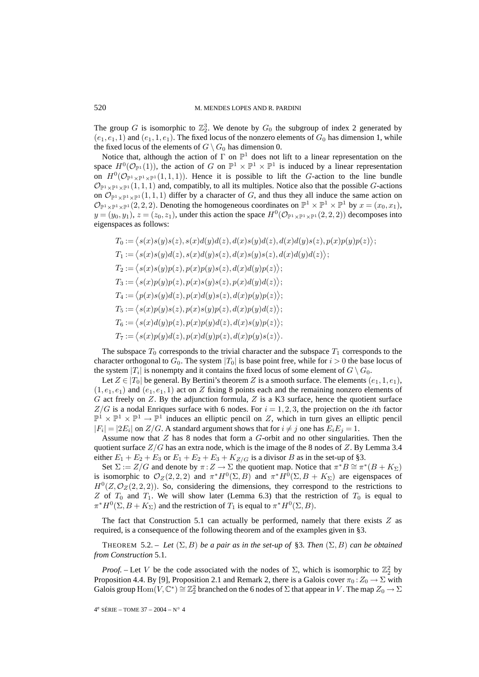The group G is isomorphic to  $\mathbb{Z}_2^3$ . We denote by  $G_0$  the subgroup of index 2 generated by  $(e_1, e_1, 1)$  and  $(e_1, 1, e_1)$ . The fixed locus of the nonzero elements of  $G_0$  has dimension 1, while the fixed locus of the elements of  $G \setminus G_0$  has dimension 0.

Notice that, although the action of  $\Gamma$  on  $\mathbb{P}^1$  does not lift to a linear representation on the space  $H^0(\mathcal{O}_{\mathbb{P}^1}(1))$ , the action of G on  $\mathbb{P}^1 \times \mathbb{P}^1 \times \mathbb{P}^1$  is induced by a linear representation on  $H^0(\mathcal{O}_{\mathbb{P}^1\times\mathbb{P}^1\times\mathbb{P}^1}(1,1,1))$ . Hence it is possible to lift the G-action to the line bundle  $\mathcal{O}_{\mathbb{P}^1\times\mathbb{P}^1\times\mathbb{P}^1}(1,1,1)$  and, compatibly, to all its multiples. Notice also that the possible G-actions on  $\mathcal{O}_{\mathbb{P}^1\times\mathbb{P}^1\times\mathbb{P}^1}(1,1,1)$  differ by a character of G, and thus they all induce the same action on  $\mathcal{O}_{\mathbb{P}^1\times\mathbb{P}^1\times\mathbb{P}^1}(2,2,2)$ . Denoting the homogeneous coordinates on  $\mathbb{P}^1\times\mathbb{P}^1\times\mathbb{P}^1$  by  $x=(x_0,x_1)$ ,  $y = (y_0, y_1), z = (z_0, z_1)$ , under this action the space  $H^0(\mathcal{O}_{\mathbb{P}^1 \times \mathbb{P}^1} \times \mathbb{P}^1(2, 2, 2))$  decomposes into eigenspaces as follows:

$$
T_0 := \langle s(x)s(y)s(z), s(x)d(y)d(z), d(x)s(y)d(z), d(x)d(y)s(z), p(x)p(y)p(z) \rangle;
$$
  
\n
$$
T_1 := \langle s(x)s(y)d(z), s(x)d(y)s(z), d(x)s(y)s(z), d(x)d(y)d(z) \rangle;
$$
  
\n
$$
T_2 := \langle s(x)s(y)p(z), p(x)p(y)s(z), d(x)d(y)p(z) \rangle;
$$
  
\n
$$
T_3 := \langle s(x)p(y)p(z), p(x)s(y)s(z), p(x)d(y)d(z) \rangle;
$$
  
\n
$$
T_4 := \langle p(x)s(y)d(z), p(x)d(y)s(z), d(x)p(y)p(z) \rangle;
$$
  
\n
$$
T_5 := \langle s(x)p(y)s(z), p(x)s(y)p(z), d(x)p(y)d(z) \rangle;
$$
  
\n
$$
T_6 := \langle s(x)d(y)p(z), p(x)p(y)d(z), d(x)s(y)p(z) \rangle;
$$
  
\n
$$
T_7 := \langle s(x)p(y)d(z), p(x)d(y)p(z), d(x)p(y)s(z) \rangle.
$$

The subspace  $T_0$  corresponds to the trivial character and the subspace  $T_1$  corresponds to the character orthogonal to  $G_0$ . The system  $|T_0|$  is base point free, while for  $i > 0$  the base locus of the system  $|T_i|$  is nonempty and it contains the fixed locus of some element of  $G \setminus G_0$ .

Let  $Z \in |T_0|$  be general. By Bertini's theorem Z is a smooth surface. The elements  $(e_1, 1, e_1)$ ,  $(1, e_1, e_1)$  and  $(e_1, e_1, 1)$  act on Z fixing 8 points each and the remaining nonzero elements of G act freely on  $Z$ . By the adjunction formula,  $Z$  is a K3 surface, hence the quotient surface  $Z/G$  is a nodal Enriques surface with 6 nodes. For  $i = 1, 2, 3$ , the projection on the *i*th factor  $\mathbb{P}^1 \times \mathbb{P}^1 \times \mathbb{P}^1 \to \mathbb{P}^1$  induces an elliptic pencil on Z, which in turn gives an elliptic pencil  $|F_i| = |2E_i|$  on  $Z/G$ . A standard argument shows that for  $i \neq j$  one has  $E_i E_j = 1$ .

Assume now that  $Z$  has 8 nodes that form a  $G$ -orbit and no other singularities. Then the quotient surface  $Z/G$  has an extra node, which is the image of the 8 nodes of Z. By Lemma 3.4 either  $E_1 + E_2 + E_3$  or  $E_1 + E_2 + E_3 + K_{Z/G}$  is a divisor B as in the set-up of §3.

Set  $\Sigma := Z/G$  and denote by  $\pi : Z \to \Sigma$  the quotient map. Notice that  $\pi^*B \cong \pi^*(B + K_{\Sigma})$ is isomorphic to  $\mathcal{O}_Z(2,2,2)$  and  $\pi^*H^0(\Sigma, B)$  and  $\pi^*H^0(\Sigma, B + K_{\Sigma})$  are eigenspaces of  $H^0(Z, \mathcal{O}_Z(2, 2, 2))$ . So, considering the dimensions, they correspond to the restrictions to Z of  $T_0$  and  $T_1$ . We will show later (Lemma 6.3) that the restriction of  $T_0$  is equal to  $\pi^*H^0(\Sigma, B + K_{\Sigma})$  and the restriction of  $T_1$  is equal to  $\pi^*H^0(\Sigma, B)$ .

The fact that Construction 5.1 can actually be performed, namely that there exists  $Z$  as required, is a consequence of the following theorem and of the examples given in §3.

THEOREM 5.2. – Let  $(\Sigma, B)$  be a pair as in the set-up of §3. Then  $(\Sigma, B)$  can be obtained *from Construction* 5.1*.*

*Proof.* – Let V be the code associated with the nodes of  $\Sigma$ , which is isomorphic to  $\mathbb{Z}_2^2$  by Proposition 4.4. By [9], Proposition 2.1 and Remark 2, there is a Galois cover  $\pi_0 : Z_0 \to \Sigma$  with Galois group  $\text{Hom}(V, \mathbb{C}^*) \cong \mathbb{Z}_2^2$  branched on the 6 nodes of  $\Sigma$  that appear in V. The map  $Z_0 \to \Sigma$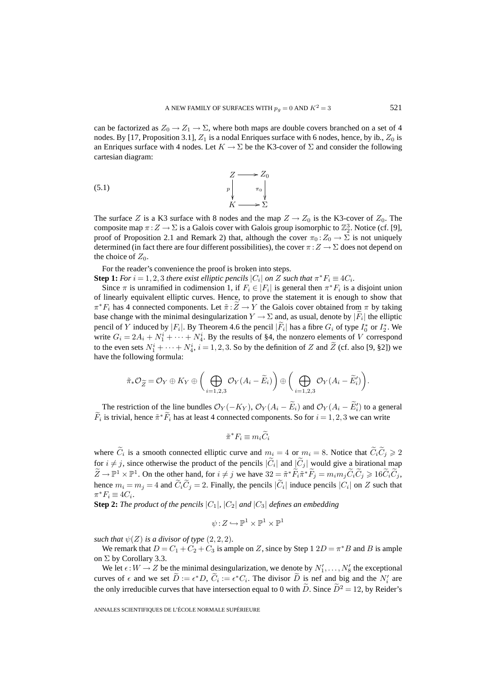can be factorized as  $Z_0 \to Z_1 \to \Sigma$ , where both maps are double covers branched on a set of 4 nodes. By [17, Proposition 3.1],  $Z_1$  is a nodal Enriques surface with 6 nodes, hence, by ib.,  $Z_0$  is an Enriques surface with 4 nodes. Let  $K \to \Sigma$  be the K3-cover of  $\Sigma$  and consider the following cartesian diagram:

$$
\begin{array}{ccc}\nZ & \longrightarrow & Z_0 \\
p & \pi_0 \\
K & \longrightarrow & \Sigma\n\end{array}
$$

The surface Z is a K3 surface with 8 nodes and the map  $Z \rightarrow Z_0$  is the K3-cover of  $Z_0$ . The composite map  $\pi: Z \to \Sigma$  is a Galois cover with Galois group isomorphic to  $\mathbb{Z}_2^3$ . Notice (cf. [9], proof of Proposition 2.1 and Remark 2) that, although the cover  $\pi_0 : Z_0 \to \Sigma$  is not uniquely determined (in fact there are four different possibilities), the cover  $\pi : Z \to \Sigma$  does not depend on the choice of  $Z_0$ .

For the reader's convenience the proof is broken into steps.

**Step 1:** *For*  $i = 1, 2, 3$  *there exist elliptic pencils*  $|C_i|$  *on* Z *such that*  $\pi^* F_i \equiv 4C_i$ *.* 

Since  $\pi$  is unramified in codimension 1, if  $F_i \in |F_i|$  is general then  $\pi^* F_i$  is a disjoint union of linearly equivalent elliptic curves. Hence, to prove the statement it is enough to show that  $\pi^*F_i$  has 4 connected components. Let  $\tilde{\pi}:Z\to Y$  the Galois cover obtained from  $\pi$  by taking base change with the minimal desingularization  $Y \to \Sigma$  and, as usual, denote by  $|F_i|$  the elliptic pencil of Y induced by | $F_i$ |. By Theorem 4.6 the pencil | $F_i$ | has a fibre  $G_i$  of type  $I_0^*$  or  $I_2^*$ . We write  $G_i = 2A_i + N_1^i + \cdots + N_4^i$ . By the results of §4, the nonzero elements of V correspond to the even sets  $N_1^i + \cdots + N_4^i$ ,  $i = 1, 2, 3$ . So by the definition of Z and  $\tilde{Z}$  (cf. also [9, §2]) we have the following formula:

$$
\tilde{\pi}_{*} \mathcal{O}_{\widetilde{Z}} = \mathcal{O}_{Y} \oplus K_{Y} \oplus \Big( \bigoplus_{i=1,2,3} \mathcal{O}_{Y}(A_{i} - \widetilde{E}_{i}) \Big) \oplus \Big( \bigoplus_{i=1,2,3} \mathcal{O}_{Y}(A_{i} - \widetilde{E}_{i}') \Big).
$$

The restriction of the line bundles  $\mathcal{O}_Y(-K_Y)$ ,  $\mathcal{O}_Y(A_i - E_i)$  and  $\mathcal{O}_Y(A_i - E'_i)$  to a general  $\widetilde{F}_i$  is trivial, hence  $\widetilde{\pi}^*\widetilde{F}_i$  has at least 4 connected components. So for  $i = 1, 2, 3$  we can write

$$
\tilde{\pi}^* F_i \equiv m_i \widetilde{C}_i
$$

where  $C_i$  is a smooth connected elliptic curve and  $m_i = 4$  or  $m_i = 8$ . Notice that  $C_i C_j \ge 2$ for  $i \neq j$ , since otherwise the product of the pencils  $|\tilde{C}_i|$  and  $|\tilde{C}_j|$  would give a birational map  $Z \to \mathbb{P}^1 \times \mathbb{P}^1$ . On the other hand, for  $i \neq j$  we have  $32 = \tilde{\pi}^* F_i \tilde{\pi}^* F_j = m_i m_j \tilde{C}_i \tilde{C}_j \geq 16 \tilde{C}_i \tilde{C}_j$ , hence  $m_i = m_j = 4$  and  $\tilde{C}_i \tilde{C}_j = 2$ . Finally, the pencils  $|\tilde{C}_i|$  induce pencils  $|C_i|$  on Z such that  $\pi^*F_i \equiv 4C_i$ .

**Step 2:** *The product of the pencils*  $|C_1|$ *,*  $|C_2|$  *and*  $|C_3|$  *defines an embedding* 

$$
\psi\!:\!Z\hookrightarrow \mathbb{P}^1\times \mathbb{P}^1\times \mathbb{P}^1
$$

*such that*  $\psi(Z)$  *is a divisor of type*  $(2,2,2)$ *.* 

We remark that  $D = C_1 + C_2 + C_3$  is ample on Z, since by Step 1 2 $D = \pi * B$  and B is ample on  $\Sigma$  by Corollary 3.3.

We let  $\epsilon: W \to Z$  be the minimal desingularization, we denote by  $N'_1, \ldots, N'_8$  the exceptional curves of  $\epsilon$  and we set  $D := \epsilon^* D$ ,  $C_i := \epsilon^* C_i$ . The divisor D is nef and big and the  $N_i'$  are the only irreducible curves that have intersection equal to 0 with  $\widetilde{D}$ . Since  $\widetilde{D}^2 = 12$ , by Reider's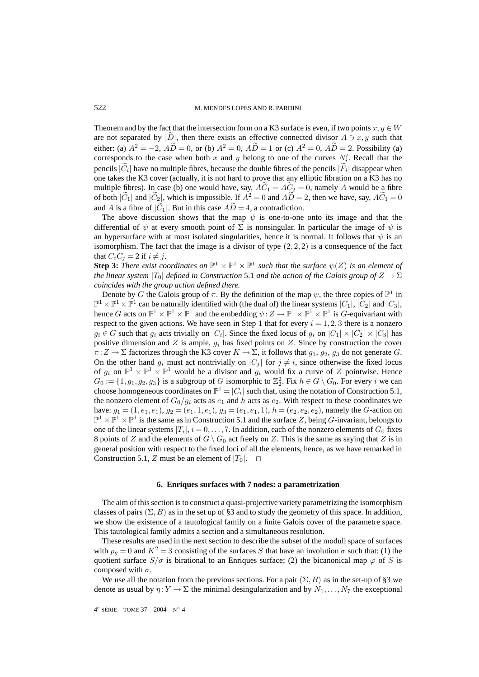Theorem and by the fact that the intersection form on a K3 surface is even, if two points  $x, y \in W$ are not separated by |D|, then there exists an effective connected divisor  $A \ni x, y$  such that either: (a)  $A^2 = -2$ ,  $A\tilde{D} = 0$ , or (b)  $A^2 = 0$ ,  $A\tilde{D} = 1$  or (c)  $A^2 = 0$ ,  $A\tilde{D} = 2$ . Possibility (a) corresponds to the case when both x and y belong to one of the curves  $N_i'$ . Recall that the pencils  $|\widetilde{C}_i|$  have no multiple fibres, because the double fibres of the pencils  $|\widetilde{F}_i|$  disappear when one takes the K3 cover (actually, it is not hard to prove that any elliptic fibration on a K3 has no multiple fibres). In case (b) one would have, say,  $\tilde{AC_1} = \tilde{AC_2} = 0$ , namely A would be a fibre of both  $|\tilde{C}_1|$  and  $|\tilde{C}_2|$ , which is impossible. If  $A^2 = 0$  and  $A\tilde{D} = 2$ , then we have, say,  $A\tilde{C}_1 = 0$ and A is a fibre of  $|\tilde{C}_1|$ . But in this case  $\tilde{AD} = 4$ , a contradiction.

The above discussion shows that the map  $\psi$  is one-to-one onto its image and that the differential of  $\psi$  at every smooth point of  $\Sigma$  is nonsingular. In particular the image of  $\psi$  is an hypersurface with at most isolated singularities, hence it is normal. It follows that  $\psi$  is an isomorphism. The fact that the image is a divisor of type  $(2, 2, 2)$  is a consequence of the fact that  $C_iC_j = 2$  if  $i \neq j$ .

**Step 3:** *There exist coordinates on*  $\mathbb{P}^1 \times \mathbb{P}^1 \times \mathbb{P}^1$  *such that the surface*  $\psi(Z)$  *is an element of the linear system*  $|T_0|$  *defined in Construction* 5.1 *and the action of the Galois group of*  $Z \to \Sigma$ *coincides with the group action defined there.*

Denote by G the Galois group of  $\pi$ . By the definition of the map  $\psi$ , the three copies of  $\mathbb{P}^1$  in  $\mathbb{P}^1 \times \mathbb{P}^1 \times \mathbb{P}^1$  can be naturally identified with (the dual of) the linear systems  $|C_1|, |C_2|$  and  $|C_3|$ , hence G acts on  $\mathbb{P}^1 \times \mathbb{P}^1 \times \mathbb{P}^1$  and the embedding  $\psi : Z \to \mathbb{P}^1 \times \mathbb{P}^1 \times \mathbb{P}^1$  is G-equivariant with respect to the given actions. We have seen in Step 1 that for every  $i = 1, 2, 3$  there is a nonzero  $g_i \in G$  such that  $g_i$  acts trivially on  $|C_i|$ . Since the fixed locus of  $g_i$  on  $|C_1| \times |C_2| \times |C_3|$  has positive dimension and Z is ample,  $g_i$  has fixed points on Z. Since by construction the cover  $\pi: Z \to \Sigma$  factorizes through the K3 cover  $K \to \Sigma$ , it follows that  $g_1, g_2, g_3$  do not generate G. On the other hand  $g_i$  must act nontrivially on  $|C_i|$  for  $j \neq i$ , since otherwise the fixed locus of  $g_i$  on  $\mathbb{P}^1 \times \mathbb{P}^1 \times \mathbb{P}^1$  would be a divisor and  $g_i$  would fix a curve of Z pointwise. Hence  $G_0 := \{1, g_1, g_2, g_3\}$  is a subgroup of G isomorphic to  $\mathbb{Z}_2^2$ . Fix  $h \in G \setminus G_0$ . For every i we can choose homogeneous coordinates on  $\mathbb{P}^1 = |C_i|$  such that, using the notation of Construction 5.1, the nonzero element of  $G_0/g_i$  acts as  $e_1$  and h acts as  $e_2$ . With respect to these coordinates we have:  $g_1 = (1, e_1, e_1), g_2 = (e_1, 1, e_1), g_3 = (e_1, e_1, 1), h = (e_2, e_2, e_2)$ , namely the G-action on  $\mathbb{P}^1 \times \mathbb{P}^1 \times \mathbb{P}^1$  is the same as in Construction 5.1 and the surface Z, being G-invariant, belongs to one of the linear systems  $|T_i|, i = 0, \ldots, 7$ . In addition, each of the nonzero elements of  $G_0$  fixes 8 points of Z and the elements of  $G \setminus G_0$  act freely on Z. This is the same as saying that Z is in general position with respect to the fixed loci of all the elements, hence, as we have remarked in Construction 5.1, Z must be an element of  $|T_0|$ .  $\Box$ 

#### **6. Enriques surfaces with 7 nodes: a parametrization**

The aim of this section is to construct a quasi-projective variety parametrizing the isomorphism classes of pairs  $(\Sigma, B)$  as in the set up of §3 and to study the geometry of this space. In addition, we show the existence of a tautological family on a finite Galois cover of the parametre space. This tautological family admits a section and a simultaneous resolution.

These results are used in the next section to describe the subset of the moduli space of surfaces with  $p_q = 0$  and  $K^2 = 3$  consisting of the surfaces S that have an involution  $\sigma$  such that: (1) the quotient surface  $S/\sigma$  is birational to an Enriques surface; (2) the bicanonical map  $\varphi$  of S is composed with  $\sigma$ .

We use all the notation from the previous sections. For a pair  $(\Sigma, B)$  as in the set-up of §3 we denote as usual by  $\eta: Y \to \Sigma$  the minimal desingularization and by  $N_1, \ldots, N_7$  the exceptional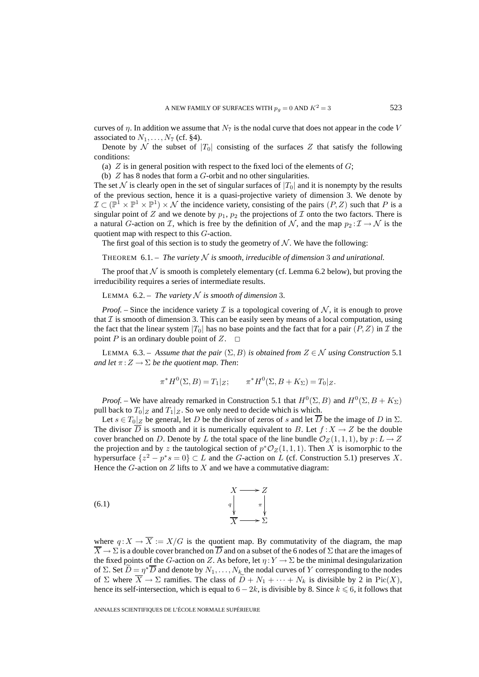curves of  $\eta$ . In addition we assume that  $N_7$  is the nodal curve that does not appear in the code V associated to  $N_1, \ldots, N_7$  (cf. §4).

Denote by N the subset of  $|T_0|$  consisting of the surfaces Z that satisfy the following conditions:

(a)  $Z$  is in general position with respect to the fixed loci of the elements of  $G$ ;

(b)  $Z$  has 8 nodes that form a  $G$ -orbit and no other singularities.

The set N is clearly open in the set of singular surfaces of  $|T_0|$  and it is nonempty by the results of the previous section, hence it is a quasi-projective variety of dimension 3. We denote by  $\mathcal{I} \subset (\mathbb{P}^1 \times \mathbb{P}^1 \times \mathbb{P}^1) \times \mathcal{N}$  the incidence variety, consisting of the pairs  $(P, Z)$  such that P is a singular point of Z and we denote by  $p_1$ ,  $p_2$  the projections of T onto the two factors. There is a natural G-action on I, which is free by the definition of N, and the map  $p_2 : \mathcal{I} \to \mathcal{N}$  is the quotient map with respect to this G-action.

The first goal of this section is to study the geometry of  $N$ . We have the following:

THEOREM  $6.1$ . – *The variety*  $N$  *is smooth, irreducible of dimension* 3 *and unirational.* 

The proof that  $N$  is smooth is completely elementary (cf. Lemma 6.2 below), but proving the irreducibility requires a series of intermediate results.

LEMMA  $6.2$  – *The variety*  $N$  *is smooth of dimension* 3*.* 

*Proof.* – Since the incidence variety  $\mathcal I$  is a topological covering of  $\mathcal N$ , it is enough to prove that  $\mathcal I$  is smooth of dimension 3. This can be easily seen by means of a local computation, using the fact that the linear system  $|T_0|$  has no base points and the fact that for a pair  $(P, Z)$  in T the point P is an ordinary double point of Z.  $\Box$ 

LEMMA 6.3. – *Assume that the pair*  $(\Sigma, B)$  *is obtained from*  $Z \in \mathcal{N}$  *using Construction* 5.1 *and let*  $\pi: Z \to \Sigma$  *be the quotient map. Then:* 

$$
\pi^* H^0(\Sigma, B) = T_1|_Z; \qquad \pi^* H^0(\Sigma, B + K_{\Sigma}) = T_0|_Z.
$$

*Proof.* – We have already remarked in Construction 5.1 that  $H^0(\Sigma, B)$  and  $H^0(\Sigma, B + K_{\Sigma})$ pull back to  $T_0|_Z$  and  $T_1|_Z$ . So we only need to decide which is which.

Let  $s \in T_0|_Z$  be general, let D be the divisor of zeros of s and let  $\overline{D}$  be the image of D in  $\Sigma$ . The divisor  $\overline{D}$  is smooth and it is numerically equivalent to B. Let  $f: X \to Z$  be the double cover branched on D. Denote by L the total space of the line bundle  $\mathcal{O}_Z(1,1,1)$ , by  $p: L \to Z$ the projection and by z the tautological section of  $p^*O_Z(1, 1, 1)$ . Then X is isomorphic to the hypersurface  $\{z^2 - p^*s = 0\} \subset L$  and the G-action on L (cf. Construction 5.1) preserves X. Hence the  $G$ -action on  $Z$  lifts to  $X$  and we have a commutative diagram:



where  $q: X \to \overline{X} := X/G$  is the quotient map. By commutativity of the diagram, the map  $\overline{X} \to \Sigma$  is a double cover branched on  $\overline{D}$  and on a subset of the 6 nodes of  $\Sigma$  that are the images of the fixed points of the G-action on Z. As before, let  $\eta: Y \to \Sigma$  be the minimal desingularization of Σ. Set  $\overline{D} = \eta^* \overline{D}$  and denote by  $N_1, \ldots, N_k$  the nodal curves of Y corresponding to the nodes of  $\Sigma$  where  $\overline{X} \to \Sigma$  ramifies. The class of  $D + N_1 + \cdots + N_k$  is divisible by 2 in Pic(X), hence its self-intersection, which is equal to  $6 - 2k$ , is divisible by 8. Since  $k \le 6$ , it follows that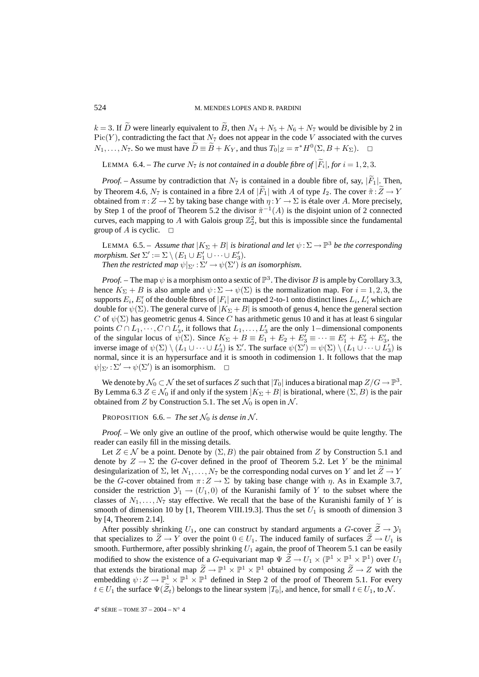$k = 3$ . If  $\widetilde{D}$  were linearly equivalent to  $\widetilde{B}$ , then  $N_4 + N_5 + N_6 + N_7$  would be divisible by 2 in  $Pic(Y)$ , contradicting the fact that  $N<sub>7</sub>$  does not appear in the code V associated with the curves  $N_1, \ldots, N_7$ . So we must have  $\widetilde{D} = \widetilde{B} + K_Y$ , and thus  $T_0|_Z = \pi^* H^0(\Sigma, B + K_\Sigma)$ .  $\Box$ 

LEMMA 6.4. – *The curve*  $N_7$  *is not contained in a double fibre of*  $|\widetilde{F}_i|$ *, for*  $i = 1, 2, 3$ *.* 

*Proof.* – Assume by contradiction that  $N_7$  is contained in a double fibre of, say,  $|F_1|$ . Then, by Theorem 4.6,  $N_7$  is contained in a fibre 2A of  $|\widetilde{F}_1|$  with A of type  $I_2$ . The cover  $\widetilde{\pi} : \widetilde{Z} \to Y$ obtained from  $\pi: Z \to \Sigma$  by taking base change with  $\eta: Y \to \Sigma$  is étale over A. More precisely, by Step 1 of the proof of Theorem 5.2 the divisor  $\tilde{\pi}^{-1}(A)$  is the disjoint union of 2 connected curves, each mapping to A with Galois group  $\mathbb{Z}_2^2$ , but this is impossible since the fundamental group of A is cyclic.  $\square$ 

LEMMA 6.5. – *Assume that*  $|K_{\Sigma} + B|$  *is birational and let*  $\psi : \Sigma \to \mathbb{P}^3$  *be the corresponding morphism.* Set  $\Sigma' := \Sigma \setminus (E_1 \cup E_1' \cup \cdots \cup E_3')$ *.* Then the restricted map  $\psi|_{\Sigma'} : \Sigma' \to \psi(\Sigma')$  is an isomorphism.

*Proof.* – The map  $\psi$  is a morphism onto a sextic of  $\mathbb{P}^3$ . The divisor B is ample by Corollary 3.3, hence  $K_{\Sigma} + B$  is also ample and  $\psi : \Sigma \to \psi(\Sigma)$  is the normalization map. For  $i = 1, 2, 3$ , the supports  $E_i$ ,  $E'_i$  of the double fibres of  $|F_i|$  are mapped 2-to-1 onto distinct lines  $L_i$ ,  $L'_i$  which are double for  $\psi(\Sigma)$ . The general curve of  $|K_{\Sigma}+B|$  is smooth of genus 4, hence the general section C of  $\psi(\Sigma)$  has geometric genus 4. Since C has arithmetic genus 10 and it has at least 6 singular points  $C \cap L_1, \dots, C \cap L'_3$ , it follows that  $L_1, \dots, L'_3$  are the only 1–dimensional components of the singular locus of  $\psi(\Sigma)$ . Since  $K_{\Sigma} + B \equiv E_1 + E_2 + E'_3 \equiv \cdots \equiv E'_1 + E'_2 + E'_3$ , the inverse image of  $\psi(\Sigma) \setminus (L_1 \cup \cdots \cup L'_3)$  is  $\Sigma'$ . The surface  $\psi(\Sigma') = \psi(\Sigma) \setminus (L_1 \cup \cdots \cup L'_3)$  is normal, since it is an hypersurface and it is smooth in codimension 1. It follows that the map  $\psi|_{\Sigma'} : \Sigma' \to \psi(\Sigma')$  is an isomorphism.  $\Box$ 

We denote by  $\mathcal{N}_0 \subset \mathcal{N}$  the set of surfaces Z such that  $|T_0|$  induces a birational map  $Z/G \to \mathbb{P}^3$ . By Lemma 6.3  $Z \in \mathcal{N}_0$  if and only if the system  $|K_{\Sigma} + B|$  is birational, where  $(\Sigma, B)$  is the pair obtained from Z by Construction 5.1. The set  $\mathcal{N}_0$  is open in N.

PROPOSITION 6.6. – *The set*  $\mathcal{N}_0$  *is dense in*  $\mathcal{N}$ *.* 

*Proof. –* We only give an outline of the proof, which otherwise would be quite lengthy. The reader can easily fill in the missing details.

Let  $Z \in \mathcal{N}$  be a point. Denote by  $(\Sigma, B)$  the pair obtained from Z by Construction 5.1 and denote by  $Z \to \Sigma$  the G-cover defined in the proof of Theorem 5.2. Let Y be the minimal desingularization of  $\Sigma$ , let  $N_1,\ldots,N_7$  be the corresponding nodal curves on Y and let  $Z \to Y$ be the G-cover obtained from  $\pi: Z \to \Sigma$  by taking base change with  $\eta$ . As in Example 3.7, consider the restriction  $\mathcal{Y}_1 \to (U_1, 0)$  of the Kuranishi family of Y to the subset where the classes of  $N_1, \ldots, N_7$  stay effective. We recall that the base of the Kuranishi family of Y is smooth of dimension 10 by [1, Theorem VIII.19.3]. Thus the set  $U_1$  is smooth of dimension 3 by [4, Theorem 2.14].

After possibly shrinking  $U_1$ , one can construct by standard arguments a G-cover  $\tilde{Z} \to \mathcal{Y}_1$ that specializes to  $\widetilde{Z} \to Y$  over the point  $0 \in U_1$ . The induced family of surfaces  $\widetilde{Z} \to U_1$  is smooth. Furthermore, after possibly shrinking  $U_1$  again, the proof of Theorem 5.1 can be easily modified to show the existence of a G-equivariant map  $\Psi \tilde{Z} \to U_1 \times (\mathbb{P}^1 \times \mathbb{P}^1 \times \mathbb{P}^1)$  over  $U_1$ that extends the birational map  $\widetilde{Z} \to \mathbb{P}^1 \times \mathbb{P}^1 \times \mathbb{P}^1$  obtained by composing  $\widetilde{Z} \to Z$  with the embedding  $\psi: Z \to \mathbb{P}^1 \times \mathbb{P}^1 \times \mathbb{P}^1$  defined in Step 2 of the proof of Theorem 5.1. For every  $t \in U_1$  the surface  $\Psi(\tilde{\mathcal{Z}}_t)$  belongs to the linear system  $|T_0|$ , and hence, for small  $t \in U_1$ , to N.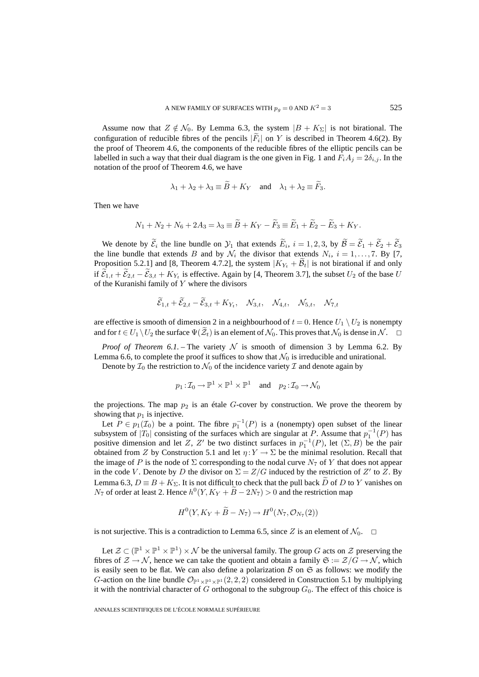Assume now that  $Z \notin \mathcal{N}_0$ . By Lemma 6.3, the system  $|B + K_{\Sigma}|$  is not birational. The configuration of reducible fibres of the pencils  $|\overline{F_i}|$  on Y is described in Theorem 4.6(2). By the proof of Theorem 4.6, the components of the reducible fibres of the elliptic pencils can be labelled in such a way that their dual diagram is the one given in Fig. 1 and  $F_iA_j = 2\delta_{i,j}$ . In the notation of the proof of Theorem 4.6, we have

$$
\lambda_1 + \lambda_2 + \lambda_3 \equiv B + K_Y
$$
 and  $\lambda_1 + \lambda_2 \equiv F_3$ .

Then we have

$$
N_1 + N_2 + N_6 + 2A_3 = \lambda_3 \equiv \widetilde{B} + K_Y - \widetilde{F}_3 \equiv \widetilde{E}_1 + \widetilde{E}_2 - \widetilde{E}_3 + K_Y.
$$

We denote by  $\mathcal{E}_i$  the line bundle on  $\mathcal{Y}_1$  that extends  $E_i$ ,  $i = 1, 2, 3$ , by  $\mathcal{B} = \mathcal{E}_1 + \mathcal{E}_2 + \mathcal{E}_3$ the line bundle that extends B and by  $\mathcal{N}_i$  the divisor that extends  $N_i$ ,  $i = 1, \ldots, 7$ . By [7, Proposition 5.2.1] and [8, Theorem 4.7.2], the system  $|K_{Y_t} + \mathcal{B}_t|$  is not birational if and only if  $\mathcal{E}_{1,t} + \mathcal{E}_{2,t} - \mathcal{E}_{3,t} + K_{Y_t}$  is effective. Again by [4, Theorem 3.7], the subset  $U_2$  of the base U of the Kuranishi family of Y where the divisors

$$
\widetilde{\mathcal{E}}_{1,t} + \widetilde{\mathcal{E}}_{2,t} - \widetilde{\mathcal{E}}_{3,t} + K_{Y_t}, \quad \mathcal{N}_{3,t}, \quad \mathcal{N}_{4,t}, \quad \mathcal{N}_{5,t}, \quad \mathcal{N}_{7,t}
$$

are effective is smooth of dimension 2 in a neighbourhood of  $t = 0$ . Hence  $U_1 \setminus U_2$  is nonempty and for  $t \in U_1 \setminus U_2$  the surface  $\Psi(\tilde{\mathcal{Z}}_t)$  is an element of  $\mathcal{N}_0$ . This proves that  $\mathcal{N}_0$  is dense in  $\mathcal{N}$ .

*Proof of Theorem 6.1.* – The variety  $N$  is smooth of dimension 3 by Lemma 6.2. By Lemma 6.6, to complete the proof it suffices to show that  $\mathcal{N}_0$  is irreducible and unirational.

Denote by  $\mathcal{I}_0$  the restriction to  $\mathcal{N}_0$  of the incidence variety  $\mathcal I$  and denote again by

$$
p_1: \mathcal{I}_0 \to \mathbb{P}^1 \times \mathbb{P}^1 \times \mathbb{P}^1
$$
 and  $p_2: \mathcal{I}_0 \to \mathcal{N}_0$ 

the projections. The map  $p_2$  is an étale G-cover by construction. We prove the theorem by showing that  $p_1$  is injective.

Let  $P \in p_1(\mathcal{I}_0)$  be a point. The fibre  $p_1^{-1}(P)$  is a (nonempty) open subset of the linear subsystem of  $|T_0|$  consisting of the surfaces which are singular at P. Assume that  $p_1^{-1}(P)$  has positive dimension and let Z, Z' be two distinct surfaces in  $p_1^{-1}(P)$ , let  $(\Sigma, B)$  be the pair obtained from Z by Construction 5.1 and let  $\eta: Y \to \Sigma$  be the minimal resolution. Recall that the image of P is the node of  $\Sigma$  corresponding to the nodal curve  $N_7$  of Y that does not appear in the code V. Denote by D the divisor on  $\Sigma = Z/G$  induced by the restriction of Z' to Z. By Lemma 6.3,  $D \equiv B + K_{\Sigma}$ . It is not difficult to check that the pull back D of D to Y vanishes on  $N_7$  of order at least 2. Hence  $h^0(Y, K_Y + B - 2N_7) > 0$  and the restriction map

$$
H^0(Y, K_Y + \widetilde{B} - N_7) \to H^0(N_7, \mathcal{O}_{N_7}(2))
$$

is not surjective. This is a contradiction to Lemma 6.5, since Z is an element of  $\mathcal{N}_0$ .  $\Box$ 

Let  $\mathcal{Z} \subset (\mathbb{P}^1 \times \mathbb{P}^1 \times \mathbb{P}^1) \times \mathcal{N}$  be the universal family. The group G acts on  $\mathcal{Z}$  preserving the fibres of  $\mathcal{Z} \to \mathcal{N}$ , hence we can take the quotient and obtain a family  $\mathfrak{S} := \mathcal{Z}/G \to \mathcal{N}$ , which is easily seen to be flat. We can also define a polarization  $\beta$  on  $\mathfrak{S}$  as follows: we modify the G-action on the line bundle  $\mathcal{O}_{\mathbb{P}^1 \times \mathbb{P}^1}$  (2, 2, 2) considered in Construction 5.1 by multiplying it with the nontrivial character of G orthogonal to the subgroup  $G_0$ . The effect of this choice is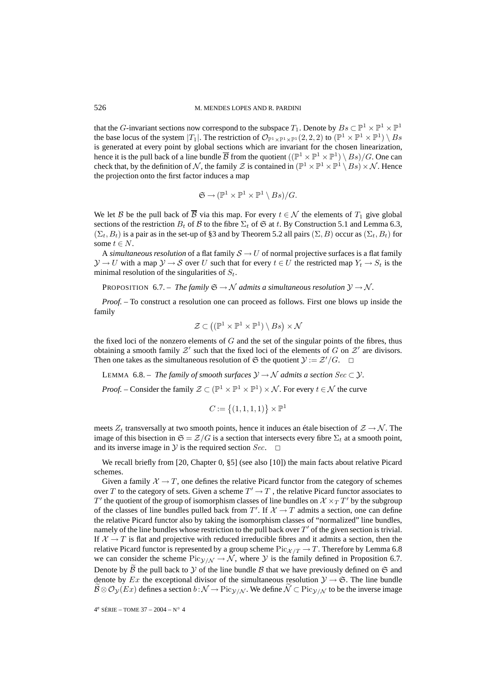that the G-invariant sections now correspond to the subspace  $T_1$ . Denote by  $Bs \subset \mathbb{P}^1 \times \mathbb{P}^1 \times \mathbb{P}^1$ the base locus of the system  $|T_1|$ . The restriction of  $\mathcal{O}_{\mathbb{P}^1 \times \mathbb{P}^1 \times \mathbb{P}^1}$  (2, 2, 2) to  $(\mathbb{P}^1 \times \mathbb{P}^1 \times \mathbb{P}^1) \setminus Bs$ is generated at every point by global sections which are invariant for the chosen linearization, hence it is the pull back of a line bundle  $\overline{B}$  from the quotient  $((\mathbb{P}^1 \times \mathbb{P}^1 \times \mathbb{P}^1) \setminus Bs)/G$ . One can check that, by the definition of N, the family Z is contained in  $(\mathbb{P}^1 \times \mathbb{P}^1 \times \mathbb{P}^1 \setminus Bs) \times \mathcal{N}$ . Hence the projection onto the first factor induces a map

$$
\mathfrak{S} \to (\mathbb{P}^1 \times \mathbb{P}^1 \times \mathbb{P}^1 \setminus Bs)/G.
$$

We let B be the pull back of  $\overline{B}$  via this map. For every  $t \in \mathcal{N}$  the elements of  $T_1$  give global sections of the restriction  $B_t$  of B to the fibre  $\Sigma_t$  of  $\mathfrak S$  at t. By Construction 5.1 and Lemma 6.3,  $(\Sigma_t, B_t)$  is a pair as in the set-up of §3 and by Theorem 5.2 all pairs  $(\Sigma, B)$  occur as  $(\Sigma_t, B_t)$  for some  $t \in N$ .

A *simultaneous resolution* of a flat family  $S \to U$  of normal projective surfaces is a flat family  $\mathcal{Y} \to U$  with a map  $\mathcal{Y} \to \mathcal{S}$  over U such that for every  $t \in U$  the restricted map  $Y_t \to S_t$  is the minimal resolution of the singularities of  $S_t$ .

PROPOSITION 6.7. – *The family*  $\mathfrak{S} \rightarrow \mathcal{N}$  *admits a simultaneous resolution*  $\mathcal{Y} \rightarrow \mathcal{N}$ *.* 

*Proof. –* To construct a resolution one can proceed as follows. First one blows up inside the family

$$
\mathcal{Z} \subset ((\mathbb{P}^1 \times \mathbb{P}^1 \times \mathbb{P}^1) \setminus Bs) \times \mathcal{N}
$$

the fixed loci of the nonzero elements of  $G$  and the set of the singular points of the fibres, thus obtaining a smooth family  $\mathcal{Z}'$  such that the fixed loci of the elements of G on  $\mathcal{Z}'$  are divisors. Then one takes as the simultaneous resolution of  $\mathfrak S$  the quotient  $\mathcal Y := \mathcal Z'/G$ .  $\Box$ 

LEMMA 6.8. – *The family of smooth surfaces*  $\mathcal{Y} \to \mathcal{N}$  *admits a section Sec*  $\subset \mathcal{Y}$ *.* 

*Proof.* – Consider the family  $\mathcal{Z} \subset (\mathbb{P}^1 \times \mathbb{P}^1 \times \mathbb{P}^1) \times \mathcal{N}$ . For every  $t \in \mathcal{N}$  the curve

$$
C := \{(1, 1, 1, 1)\} \times \mathbb{P}^1
$$

meets  $Z_t$  transversally at two smooth points, hence it induces an étale bisection of  $\mathcal{Z} \to \mathcal{N}$ . The image of this bisection in  $\mathfrak{S} = \mathcal{Z}/G$  is a section that intersects every fibre  $\Sigma_t$  at a smooth point, and its inverse image in  $\mathcal Y$  is the required section Sec.  $\Box$ 

We recall briefly from [20, Chapter 0, §5] (see also [10]) the main facts about relative Picard schemes.

Given a family  $\mathcal{X} \to T$ , one defines the relative Picard functor from the category of schemes over T to the category of sets. Given a scheme  $T' \to T$ , the relative Picard functor associates to  $T'$  the quotient of the group of isomorphism classes of line bundles on  $\mathcal{X} \times_T T'$  by the subgroup of the classes of line bundles pulled back from T'. If  $X \to T$  admits a section, one can define the relative Picard functor also by taking the isomorphism classes of "normalized" line bundles, namely of the line bundles whose restriction to the pull back over  $T'$  of the given section is trivial. If  $X \to T$  is flat and projective with reduced irreducible fibres and it admits a section, then the relative Picard functor is represented by a group scheme  $Pic_{\mathcal{X}/T} \to T$ . Therefore by Lemma 6.8 we can consider the scheme  $Pic_{\gamma/N} \to \mathcal{N}$ , where  $\gamma$  is the family defined in Proposition 6.7. Denote by  $\hat{B}$  the pull back to  $\hat{V}$  of the line bundle  $\hat{B}$  that we have previously defined on  $\hat{B}$  and denote by Ex the exceptional divisor of the simultaneous resolution  $\mathcal{Y} \to \mathfrak{S}$ . The line bundle  $B \otimes \mathcal{O}_{\mathcal{Y}}(Ex)$  defines a section  $b : \mathcal{N} \to \text{Pic}_{\mathcal{Y}/\mathcal{N}}$ . We define  $\mathcal{N} \subset \text{Pic}_{\mathcal{Y}/\mathcal{N}}$  to be the inverse image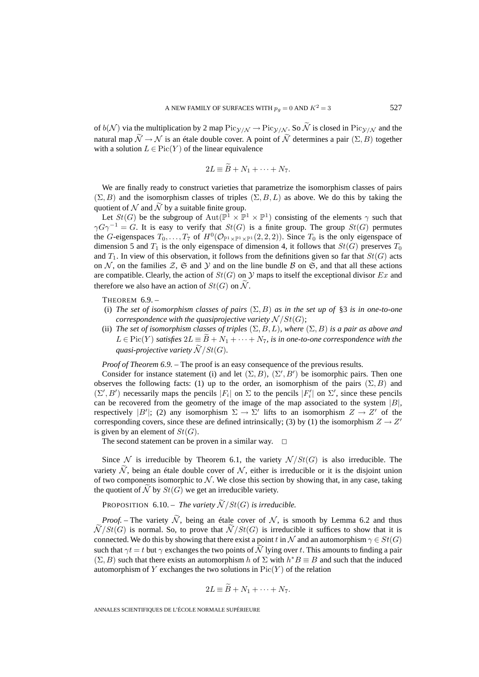of  $b(\mathcal{N})$  via the multiplication by 2 map  $\text{Pic}_{\mathcal{V}/\mathcal{N}} \to \text{Pic}_{\mathcal{V}/\mathcal{N}}$ . So  $\widetilde{\mathcal{N}}$  is closed in  $\text{Pic}_{\mathcal{V}/\mathcal{N}}$  and the natural map  $\widetilde{\mathcal{N}} \to \mathcal{N}$  is an étale double cover. A point of  $\widetilde{\mathcal{N}}$  determines a pair  $(\Sigma, B)$  together with a solution  $L \in Pic(Y)$  of the linear equivalence

$$
2L \equiv \widetilde{B} + N_1 + \cdots + N_7.
$$

We are finally ready to construct varieties that parametrize the isomorphism classes of pairs  $(\Sigma, B)$  and the isomorphism classes of triples  $(\Sigma, B, L)$  as above. We do this by taking the quotient of N and  $\widetilde{N}$  by a suitable finite group.

Let  $St(G)$  be the subgroup of  $Aut(\mathbb{P}^1 \times \mathbb{P}^1 \times \mathbb{P}^1)$  consisting of the elements  $\gamma$  such that  $\gamma G \gamma^{-1} = G$ . It is easy to verify that  $St(G)$  is a finite group. The group  $St(G)$  permutes the G-eigenspaces  $T_0,\ldots,T_7$  of  $H^0(\mathcal{O}_{\mathbb{P}^1\times\mathbb{P}^1\times\mathbb{P}^1}(2,2,2))$ . Since  $T_0$  is the only eigenspace of dimension 5 and  $T_1$  is the only eigenspace of dimension 4, it follows that  $St(G)$  preserves  $T_0$ and  $T_1$ . In view of this observation, it follows from the definitions given so far that  $St(G)$  acts on N, on the families Z, G and Y and on the line bundle B on G, and that all these actions are compatible. Clearly, the action of  $St(G)$  on  $\mathcal Y$  maps to itself the exceptional divisor Ex and therefore we also have an action of  $St(G)$  on  $\widetilde{\mathcal{N}}$ .

THEOREM 6.9. –

- (i) *The set of isomorphism classes of pairs*  $(\Sigma, B)$  *as in the set up of* §3 *is in one-to-one correspondence with the quasiprojective variety*  $\mathcal{N}/St(G)$ ;
- (ii) *The set of isomorphism classes of triples*  $(\Sigma, B, L)$ *, where*  $(\Sigma, B)$  *is a pair as above and*  $L \in Pic(Y)$  *satisfies*  $2L \equiv \widetilde{B} + N_1 + \cdots + N_7$ *, is in one-to-one correspondence with the quasi-projective variety*  $\widetilde{\mathcal{N}}$  /  $St(G)$ *.*

*Proof of Theorem 6.9.* – The proof is an easy consequence of the previous results.

Consider for instance statement (i) and let  $(\Sigma, B)$ ,  $(\Sigma', B')$  be isomorphic pairs. Then one observes the following facts: (1) up to the order, an isomorphism of the pairs  $(\Sigma, B)$  and  $(\Sigma', B')$  necessarily maps the pencils  $|F_i|$  on  $\Sigma$  to the pencils  $|F'_i|$  on  $\Sigma'$ , since these pencils can be recovered from the geometry of the image of the map associated to the system  $|B|$ , respectively |B'|; (2) any isomorphism  $\Sigma \to \Sigma'$  lifts to an isomorphism  $Z \to Z'$  of the corresponding covers, since these are defined intrinsically; (3) by (1) the isomorphism  $Z \rightarrow Z'$ is given by an element of  $St(G)$ .

The second statement can be proven in a similar way.  $\Box$ 

Since N is irreducible by Theorem 6.1, the variety  $\mathcal{N}/St(G)$  is also irreducible. The variety  $\mathcal N$ , being an étale double cover of  $\mathcal N$ , either is irreducible or it is the disjoint union of two components isomorphic to  $N$ . We close this section by showing that, in any case, taking the quotient of N by  $St(G)$  we get an irreducible variety.

PROPOSITION 6.10. – *The variety*  $\widetilde{\mathcal{N}}/St(G)$  *is irreducible.* 

*Proof.* – The variety  $\widetilde{\mathcal{N}}$ , being an étale cover of  $\mathcal{N}$ , is smooth by Lemma 6.2 and thus  $\widetilde{\mathcal{N}}/St(G)$  is normal. So, to prove that  $\widetilde{\mathcal{N}}/St(G)$  is irreducible it suffices to show that it is connected. We do this by showing that there exist a point t in N and an automorphism  $\gamma \in St(G)$ such that  $\gamma t = t$  but  $\gamma$  exchanges the two points of  $\widetilde{\mathcal{N}}$  lying over t. This amounts to finding a pair  $(\Sigma, B)$  such that there exists an automorphism h of  $\Sigma$  with  $h^*B \equiv B$  and such that the induced automorphism of Y exchanges the two solutions in  $Pic(Y)$  of the relation

$$
2L \equiv B + N_1 + \cdots + N_7.
$$

ANNALES SCIENTIFIQUES DE L'ÉCOLE NORMALE SUPÉRIEURE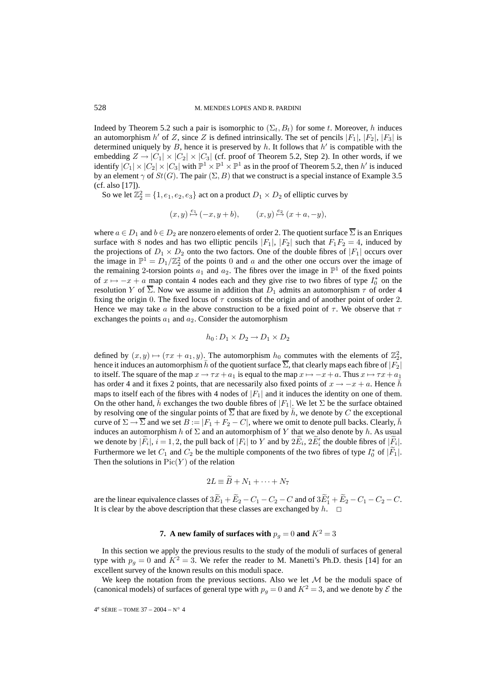Indeed by Theorem 5.2 such a pair is isomorphic to  $(\Sigma_t, B_t)$  for some t. Moreover, h induces an automorphism  $h'$  of Z, since Z is defined intrinsically. The set of pencils  $|F_1|, |F_2|, |F_3|$  is determined uniquely by B, hence it is preserved by h. It follows that  $h'$  is compatible with the embedding  $Z \to |C_1| \times |C_2| \times |C_3|$  (cf. proof of Theorem 5.2, Step 2). In other words, if we identify  $|C_1| \times |C_2| \times |C_3|$  with  $\mathbb{P}^1 \times \mathbb{P}^1 \times \mathbb{P}^1$  as in the proof of Theorem 5.2, then h' is induced by an element  $\gamma$  of  $St(G)$ . The pair  $(\Sigma, B)$  that we construct is a special instance of Example 3.5 (cf. also [17]).

So we let  $\mathbb{Z}_2^2 = \{1, e_1, e_2, e_3\}$  act on a product  $D_1 \times D_2$  of elliptic curves by

$$
(x, y) \stackrel{e_1}{\mapsto} (-x, y + b),
$$
  $(x, y) \stackrel{e_2}{\mapsto} (x + a, -y),$ 

where  $a \in D_1$  and  $b \in D_2$  are nonzero elements of order 2. The quotient surface  $\overline{\Sigma}$  is an Enriques surface with 8 nodes and has two elliptic pencils  $|F_1|, |F_2|$  such that  $F_1F_2 = 4$ , induced by the projections of  $D_1 \times D_2$  onto the two factors. One of the double fibres of  $|F_1|$  occurs over the image in  $\mathbb{P}^1 = D_1/\mathbb{Z}_2^2$  of the points 0 and a and the other one occurs over the image of the remaining 2-torsion points  $a_1$  and  $a_2$ . The fibres over the image in  $\mathbb{P}^1$  of the fixed points of  $x \mapsto -x + a$  map contain 4 nodes each and they give rise to two fibres of type  $I_0^*$  on the resolution Y of  $\overline{\Sigma}$ . Now we assume in addition that  $D_1$  admits an automorphism  $\tau$  of order 4 fixing the origin 0. The fixed locus of  $\tau$  consists of the origin and of another point of order 2. Hence we may take a in the above construction to be a fixed point of  $\tau$ . We observe that  $\tau$ exchanges the points  $a_1$  and  $a_2$ . Consider the automorphism

$$
h_0: D_1 \times D_2 \to D_1 \times D_2
$$

defined by  $(x, y) \mapsto (\tau x + a_1, y)$ . The automorphism  $h_0$  commutes with the elements of  $\mathbb{Z}_2^2$ , hence it induces an automorphism  $\bar{h}$  of the quotient surface  $\Sigma$ , that clearly maps each fibre of  $|F_2|$ to itself. The square of the map  $x \to \tau x + a_1$  is equal to the map  $x \mapsto -x + a$ . Thus  $x \mapsto \tau x + a_1$ has order 4 and it fixes 2 points, that are necessarily also fixed points of  $x \to -x + a$ . Hence  $\bar{h}$ maps to itself each of the fibres with 4 nodes of  $|F_1|$  and it induces the identity on one of them. On the other hand,  $\bar{h}$  exchanges the two double fibres of  $|F_1|$ . We let  $\Sigma$  be the surface obtained by resolving one of the singular points of  $\Sigma$  that are fixed by  $\bar{h}$ , we denote by C the exceptional curve of  $\Sigma \to \overline{\Sigma}$  and we set  $B := |F_1 + F_2 - C|$ , where we omit to denote pull backs. Clearly, h induces an automorphism h of  $\Sigma$  and an automorphism of Y that we also denote by h. As usual we denote by  $|F_i|$ ,  $i = 1, 2$ , the pull back of  $|F_i|$  to Y and by  $2E_i$ ,  $2E'_i$  the double fibres of  $|F_i|$ . Furthermore we let  $C_1$  and  $C_2$  be the multiple components of the two fibres of type  $I_0^*$  of  $|F_1|$ . Then the solutions in  $Pic(Y)$  of the relation

$$
2L \equiv \widetilde{B} + N_1 + \cdots + N_7
$$

are the linear equivalence classes of  $3E_1 + E_2 - C_1 - C_2 - C$  and of  $3E'_1 + E_2 - C_1 - C_2 - C$ . It is clear by the above description that these classes are exchanged by  $h$ .  $\Box$ 

## **7.** A new family of surfaces with  $p_q = 0$  and  $K^2 = 3$

In this section we apply the previous results to the study of the moduli of surfaces of general type with  $p_q = 0$  and  $K^2 = 3$ . We refer the reader to M. Manetti's Ph.D. thesis [14] for an excellent survey of the known results on this moduli space.

We keep the notation from the previous sections. Also we let  $M$  be the moduli space of (canonical models) of surfaces of general type with  $p<sub>q</sub> = 0$  and  $K<sup>2</sup> = 3$ , and we denote by  $\mathcal E$  the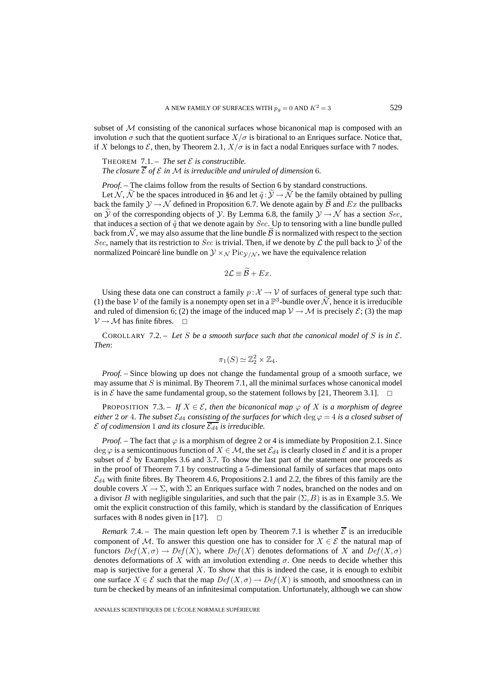subset of M consisting of the canonical surfaces whose bicanonical map is composed with an involution  $\sigma$  such that the quotient surface  $X/\sigma$  is birational to an Enriques surface. Notice that, if X belongs to  $\mathcal E$ , then, by Theorem 2.1,  $X/\sigma$  is in fact a nodal Enriques surface with 7 nodes.

THEOREM 7.1. – *The set*  $\mathcal{E}$  *is constructible. The closure*  $\overline{\mathcal{E}}$  *of*  $\mathcal{E}$  *in*  $\mathcal{M}$  *is irreducible and uniruled of dimension* 6*.* 

*Proof. –* The claims follow from the results of Section 6 by standard constructions.

Let N, N be the spaces introduced in §6 and let  $\tilde{q}: \mathcal{Y} \to \mathcal{N}$  be the family obtained by pulling back the family  $\mathcal{Y} \to \mathcal{N}$  defined in Proposition 6.7. We denote again by  $\hat{\mathcal{B}}$  and  $Ex$  the pullbacks on Y of the corresponding objects of Y. By Lemma 6.8, the family  $\mathcal{Y} \to \mathcal{N}$  has a section Sec, that induces a section of  $\tilde{q}$  that we denote again by *Sec*. Up to tensoring with a line bundle pulled back from  $\mathcal N$ , we may also assume that the line bundle  $\mathcal B$  is normalized with respect to the section Sec, namely that its restriction to Sec is trivial. Then, if we denote by  $\mathcal L$  the pull back to  $\mathcal Y$  of the normalized Poincaré line bundle on  $\mathcal{Y} \times \mathcal{N}$  Pic $\mathcal{Y}/\mathcal{N}$ , we have the equivalence relation

$$
2\mathcal{L} \equiv \mathcal{B} + Ex.
$$

Using these data one can construct a family  $p : \mathcal{X} \to \mathcal{V}$  of surfaces of general type such that: (1) the base V of the family is a nonempty open set in a  $\mathbb{P}^3$ -bundle over N, hence it is irreducible and ruled of dimension 6; (2) the image of the induced map  $V \rightarrow M$  is precisely  $\mathcal{E}$ ; (3) the map  $V \rightarrow M$  has finite fibres.  $\Box$ 

COROLLARY 7.2. – Let S be a smooth surface such that the canonical model of S is in  $\mathcal{E}$ . *Then*:

$$
\pi_1(S) \simeq \mathbb{Z}_2^2 \times \mathbb{Z}_4.
$$

*Proof.* – Since blowing up does not change the fundamental group of a smooth surface, we may assume that  $S$  is minimal. By Theorem 7.1, all the minimal surfaces whose canonical model is in E have the same fundamental group, so the statement follows by [21, Theorem 3.1].  $\Box$ 

PROPOSITION 7.3. – If  $X \in \mathcal{E}$ , then the bicanonical map  $\varphi$  of X is a morphism of degree *either* 2 *or* 4*. The subset*  $\mathcal{E}_{d4}$  *consisting of the surfaces for which* deg  $\varphi = 4$  *is a closed subset of*  $\mathcal E$  *of codimension* 1 *and its closure*  $\mathcal E_{d4}$  *is irreducible.* 

*Proof.* – The fact that  $\varphi$  is a morphism of degree 2 or 4 is immediate by Proposition 2.1. Since deg  $\varphi$  is a semicontinuous function of  $X \in \mathcal{M}$ , the set  $\mathcal{E}_{d4}$  is clearly closed in  $\mathcal{E}$  and it is a proper subset of  $\mathcal E$  by Examples 3.6 and 3.7. To show the last part of the statement one proceeds as in the proof of Theorem 7.1 by constructing a 5-dimensional family of surfaces that maps onto  $\mathcal{E}_{d4}$  with finite fibres. By Theorem 4.6, Propositions 2.1 and 2.2, the fibres of this family are the double covers  $X \to \Sigma$ , with  $\Sigma$  an Enriques surface with 7 nodes, branched on the nodes and on a divisor B with negligible singularities, and such that the pair  $(\Sigma, B)$  is as in Example 3.5. We omit the explicit construction of this family, which is standard by the classification of Enriques surfaces with 8 nodes given in [17].  $\Box$ 

*Remark* 7.4. – The main question left open by Theorem 7.1 is whether  $\overline{\mathcal{E}}$  is an irreducible component of M. To answer this question one has to consider for  $X \in \mathcal{E}$  the natural map of functors  $Def(X, \sigma) \to Def(X)$ , where  $Def(X)$  denotes deformations of X and  $Def(X, \sigma)$ denotes deformations of X with an involution extending  $\sigma$ . One needs to decide whether this map is surjective for a general  $X$ . To show that this is indeed the case, it is enough to exhibit one surface  $X \in \mathcal{E}$  such that the map  $Def(X, \sigma) \to Def(X)$  is smooth, and smoothness can in turn be checked by means of an infinitesimal computation. Unfortunately, although we can show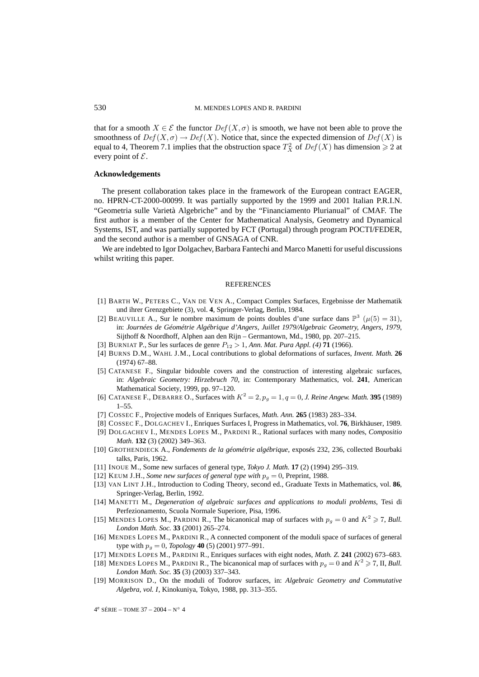that for a smooth  $X \in \mathcal{E}$  the functor  $Def(X, \sigma)$  is smooth, we have not been able to prove the smoothness of  $Def(X, \sigma) \to Def(X)$ . Notice that, since the expected dimension of  $Def(X)$  is equal to 4, Theorem 7.1 implies that the obstruction space  $T_X^2$  of  $Def(X)$  has dimension  $\geq 2$  at every point of  $\mathcal{E}$ .

## **Acknowledgements**

The present collaboration takes place in the framework of the European contract EAGER, no. HPRN-CT-2000-00099. It was partially supported by the 1999 and 2001 Italian P.R.I.N. "Geometria sulle Varietà Algebriche" and by the "Financiamento Plurianual" of CMAF. The first author is a member of the Center for Mathematical Analysis, Geometry and Dynamical Systems, IST, and was partially supported by FCT (Portugal) through program POCTI/FEDER, and the second author is a member of GNSAGA of CNR.

We are indebted to Igor Dolgachev, Barbara Fantechi and Marco Manetti for useful discussions whilst writing this paper.

#### REFERENCES

- [1] BARTH W., PETERS C., VAN DE VEN A., Compact Complex Surfaces, Ergebnisse der Mathematik und ihrer Grenzgebiete (3), vol. **4**, Springer-Verlag, Berlin, 1984.
- [2] BEAUVILLE A., Sur le nombre maximum de points doubles d'une surface dans  $\mathbb{P}^3$  ( $\mu(5) = 31$ ), in: *Journées de Géométrie Algébrique d'Angers, Juillet 1979/Algebraic Geometry, Angers, 1979*, Sijthoff & Noordhoff, Alphen aan den Rijn – Germantown, Md., 1980, pp. 207–215.
- [3] BURNIAT P., Sur les surfaces de genre P<sup>12</sup> > 1, *Ann. Mat. Pura Appl. (4)* **71** (1966).
- [4] BURNS D.M., WAHL J.M., Local contributions to global deformations of surfaces, *Invent. Math.* **26** (1974) 67–88.
- [5] CATANESE F., Singular bidouble covers and the construction of interesting algebraic surfaces, in: *Algebraic Geometry: Hirzebruch 70*, in: Contemporary Mathematics, vol. **241**, American Mathematical Society, 1999, pp. 97–120.
- [6] CATANESE F., DEBARRE O., Surfaces with  $K^2 = 2$ ,  $p_g = 1$ ,  $q = 0$ , *J. Reine Angew. Math.* **395** (1989) 1–55.
- [7] COSSEC F., Projective models of Enriques Surfaces, *Math. Ann.* **265** (1983) 283–334.
- [8] COSSEC F., DOLGACHEV I., Enriques Surfaces I, Progress in Mathematics, vol. **76**, Birkhäuser, 1989.
- [9] DOLGACHEV I., MENDES LOPES M., PARDINI R., Rational surfaces with many nodes, *Compositio Math.* **132** (3) (2002) 349–363.
- [10] GROTHENDIECK A., *Fondements de la géométrie algébrique*, exposés 232, 236, collected Bourbaki talks, Paris, 1962.
- [11] INOUE M., Some new surfaces of general type, *Tokyo J. Math.* **17** (2) (1994) 295–319.
- [12] KEUM J.H., *Some new surfaces of general type with*  $p_g = 0$ , Preprint, 1988.
- [13] VAN LINT J.H., Introduction to Coding Theory, second ed., Graduate Texts in Mathematics, vol. **86**, Springer-Verlag, Berlin, 1992.
- [14] MANETTI M., *Degeneration of algebraic surfaces and applications to moduli problems*, Tesi di Perfezionamento, Scuola Normale Superiore, Pisa, 1996.
- [15] MENDES LOPES M., PARDINI R., The bicanonical map of surfaces with  $p_g = 0$  and  $K^2 \ge 7$ , *Bull. London Math. Soc.* **33** (2001) 265–274.
- [16] MENDES LOPES M., PARDINI R., A connected component of the moduli space of surfaces of general type with  $p_g = 0$ , *Topology* **40** (5) (2001) 977–991.
- [17] MENDES LOPES M., PARDINI R., Enriques surfaces with eight nodes, *Math. Z.* **241** (2002) 673–683.
- [18] MENDES LOPES M., PARDINI R., The bicanonical map of surfaces with  $p_g = 0$  and  $K^2 \ge 7$ , II, *Bull. London Math. Soc.* **35** (3) (2003) 337–343.
- [19] MORRISON D., On the moduli of Todorov surfaces, in: *Algebraic Geometry and Commutative Algebra, vol. I*, Kinokuniya, Tokyo, 1988, pp. 313–355.